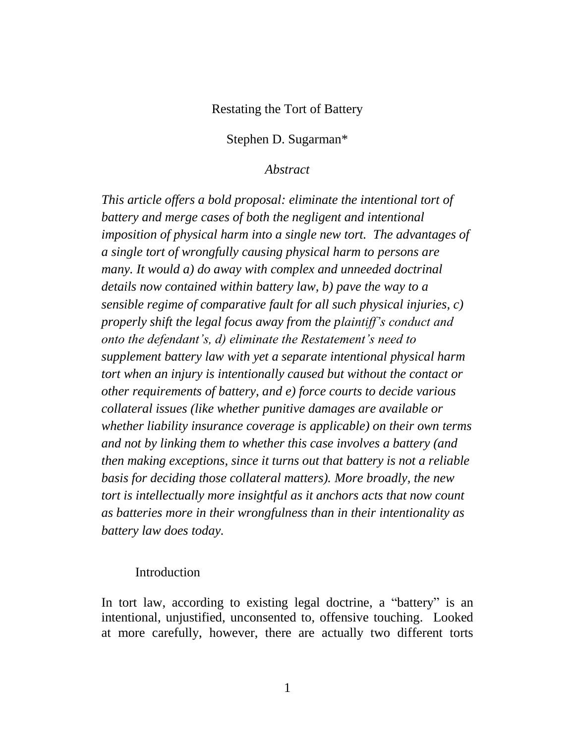#### Restating the Tort of Battery

Stephen D. Sugarman\*

#### *Abstract*

*This article offers a bold proposal: eliminate the intentional tort of battery and merge cases of both the negligent and intentional imposition of physical harm into a single new tort. The advantages of a single tort of wrongfully causing physical harm to persons are many. It would a) do away with complex and unneeded doctrinal details now contained within battery law, b) pave the way to a sensible regime of comparative fault for all such physical injuries, c) properly shift the legal focus away from the plaintiff's conduct and onto the defendant's, d) eliminate the Restatement's need to supplement battery law with yet a separate intentional physical harm tort when an injury is intentionally caused but without the contact or other requirements of battery, and e) force courts to decide various collateral issues (like whether punitive damages are available or whether liability insurance coverage is applicable) on their own terms and not by linking them to whether this case involves a battery (and then making exceptions, since it turns out that battery is not a reliable basis for deciding those collateral matters). More broadly, the new tort is intellectually more insightful as it anchors acts that now count as batteries more in their wrongfulness than in their intentionality as battery law does today.*

#### Introduction

In tort law, according to existing legal doctrine, a "battery" is an intentional, unjustified, unconsented to, offensive touching. Looked at more carefully, however, there are actually two different torts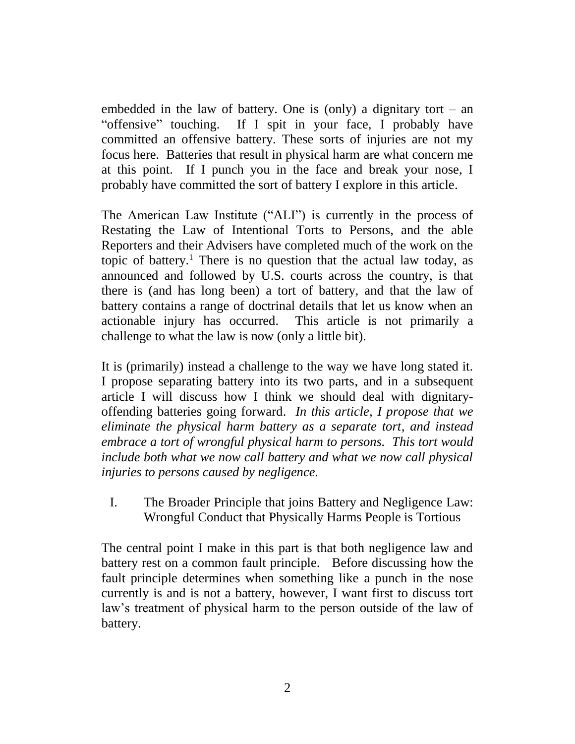embedded in the law of battery. One is (only) a dignitary tort – an "offensive" touching. If I spit in your face, I probably have committed an offensive battery. These sorts of injuries are not my focus here. Batteries that result in physical harm are what concern me at this point. If I punch you in the face and break your nose, I probably have committed the sort of battery I explore in this article.

The American Law Institute ("ALI") is currently in the process of Restating the Law of Intentional Torts to Persons, and the able Reporters and their Advisers have completed much of the work on the topic of battery.<sup>1</sup> There is no question that the actual law today, as announced and followed by U.S. courts across the country, is that there is (and has long been) a tort of battery, and that the law of battery contains a range of doctrinal details that let us know when an actionable injury has occurred. This article is not primarily a challenge to what the law is now (only a little bit).

It is (primarily) instead a challenge to the way we have long stated it. I propose separating battery into its two parts, and in a subsequent article I will discuss how I think we should deal with dignitaryoffending batteries going forward. *In this article, I propose that we eliminate the physical harm battery as a separate tort, and instead embrace a tort of wrongful physical harm to persons. This tort would include both what we now call battery and what we now call physical injuries to persons caused by negligence.*

I. The Broader Principle that joins Battery and Negligence Law: Wrongful Conduct that Physically Harms People is Tortious

The central point I make in this part is that both negligence law and battery rest on a common fault principle. Before discussing how the fault principle determines when something like a punch in the nose currently is and is not a battery, however, I want first to discuss tort law's treatment of physical harm to the person outside of the law of battery.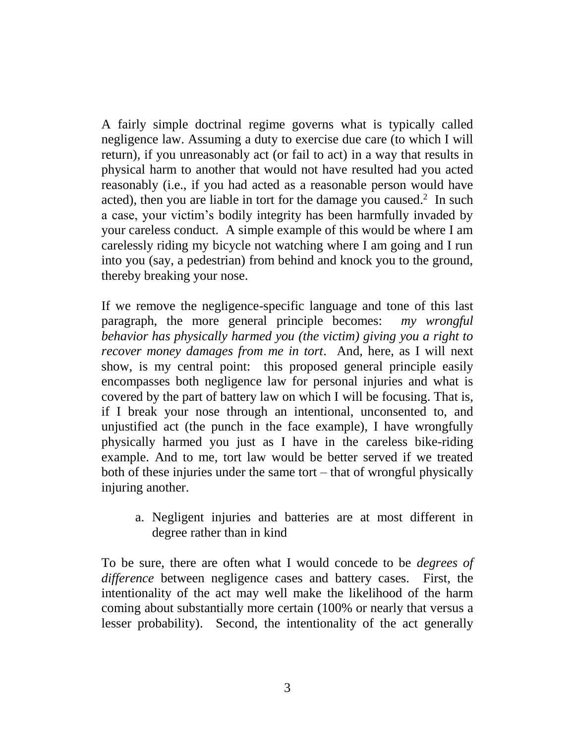A fairly simple doctrinal regime governs what is typically called negligence law. Assuming a duty to exercise due care (to which I will return), if you unreasonably act (or fail to act) in a way that results in physical harm to another that would not have resulted had you acted reasonably (i.e., if you had acted as a reasonable person would have acted), then you are liable in tort for the damage you caused. $2$  In such a case, your victim's bodily integrity has been harmfully invaded by your careless conduct. A simple example of this would be where I am carelessly riding my bicycle not watching where I am going and I run into you (say, a pedestrian) from behind and knock you to the ground, thereby breaking your nose.

If we remove the negligence-specific language and tone of this last paragraph, the more general principle becomes: *my wrongful behavior has physically harmed you (the victim) giving you a right to recover money damages from me in tort*. And, here, as I will next show, is my central point: this proposed general principle easily encompasses both negligence law for personal injuries and what is covered by the part of battery law on which I will be focusing. That is, if I break your nose through an intentional, unconsented to, and unjustified act (the punch in the face example), I have wrongfully physically harmed you just as I have in the careless bike-riding example. And to me, tort law would be better served if we treated both of these injuries under the same tort – that of wrongful physically injuring another.

a. Negligent injuries and batteries are at most different in degree rather than in kind

To be sure, there are often what I would concede to be *degrees of difference* between negligence cases and battery cases. First, the intentionality of the act may well make the likelihood of the harm coming about substantially more certain (100% or nearly that versus a lesser probability). Second, the intentionality of the act generally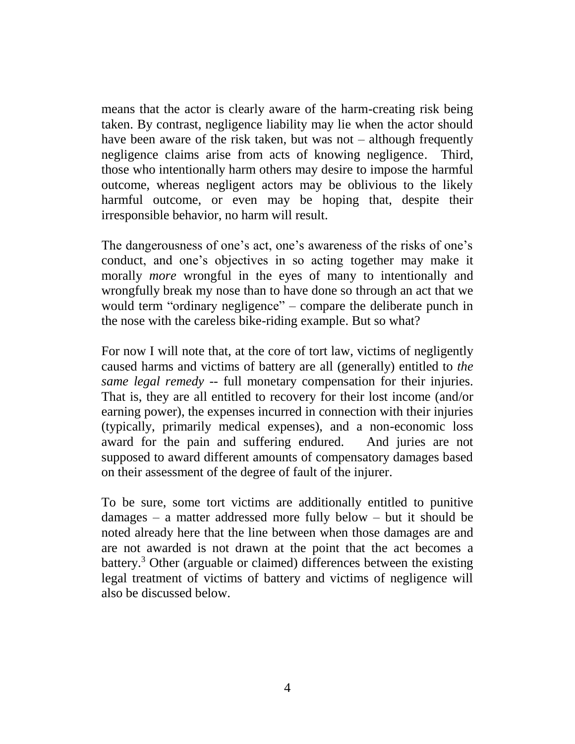means that the actor is clearly aware of the harm-creating risk being taken. By contrast, negligence liability may lie when the actor should have been aware of the risk taken, but was not – although frequently negligence claims arise from acts of knowing negligence. Third, those who intentionally harm others may desire to impose the harmful outcome, whereas negligent actors may be oblivious to the likely harmful outcome, or even may be hoping that, despite their irresponsible behavior, no harm will result.

The dangerousness of one's act, one's awareness of the risks of one's conduct, and one's objectives in so acting together may make it morally *more* wrongful in the eyes of many to intentionally and wrongfully break my nose than to have done so through an act that we would term "ordinary negligence" – compare the deliberate punch in the nose with the careless bike-riding example. But so what?

For now I will note that, at the core of tort law, victims of negligently caused harms and victims of battery are all (generally) entitled to *the same legal remedy* -- full monetary compensation for their injuries. That is, they are all entitled to recovery for their lost income (and/or earning power), the expenses incurred in connection with their injuries (typically, primarily medical expenses), and a non-economic loss award for the pain and suffering endured. And juries are not supposed to award different amounts of compensatory damages based on their assessment of the degree of fault of the injurer.

To be sure, some tort victims are additionally entitled to punitive damages – a matter addressed more fully below – but it should be noted already here that the line between when those damages are and are not awarded is not drawn at the point that the act becomes a battery.<sup>3</sup> Other (arguable or claimed) differences between the existing legal treatment of victims of battery and victims of negligence will also be discussed below.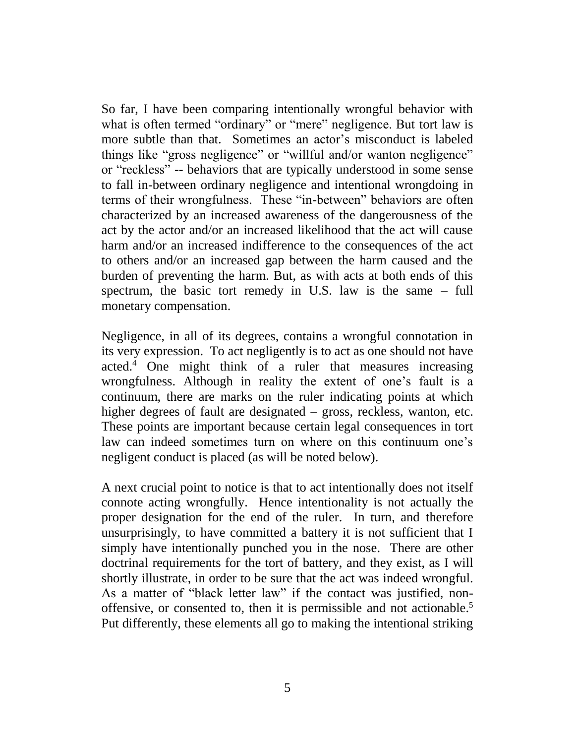So far, I have been comparing intentionally wrongful behavior with what is often termed "ordinary" or "mere" negligence. But tort law is more subtle than that. Sometimes an actor's misconduct is labeled things like "gross negligence" or "willful and/or wanton negligence" or "reckless" -- behaviors that are typically understood in some sense to fall in-between ordinary negligence and intentional wrongdoing in terms of their wrongfulness. These "in-between" behaviors are often characterized by an increased awareness of the dangerousness of the act by the actor and/or an increased likelihood that the act will cause harm and/or an increased indifference to the consequences of the act to others and/or an increased gap between the harm caused and the burden of preventing the harm. But, as with acts at both ends of this spectrum, the basic tort remedy in U.S. law is the same – full monetary compensation.

Negligence, in all of its degrees, contains a wrongful connotation in its very expression. To act negligently is to act as one should not have acted.<sup>4</sup> One might think of a ruler that measures increasing wrongfulness. Although in reality the extent of one's fault is a continuum, there are marks on the ruler indicating points at which higher degrees of fault are designated – gross, reckless, wanton, etc. These points are important because certain legal consequences in tort law can indeed sometimes turn on where on this continuum one's negligent conduct is placed (as will be noted below).

A next crucial point to notice is that to act intentionally does not itself connote acting wrongfully. Hence intentionality is not actually the proper designation for the end of the ruler. In turn, and therefore unsurprisingly, to have committed a battery it is not sufficient that I simply have intentionally punched you in the nose. There are other doctrinal requirements for the tort of battery, and they exist, as I will shortly illustrate, in order to be sure that the act was indeed wrongful. As a matter of "black letter law" if the contact was justified, nonoffensive, or consented to, then it is permissible and not actionable. 5 Put differently, these elements all go to making the intentional striking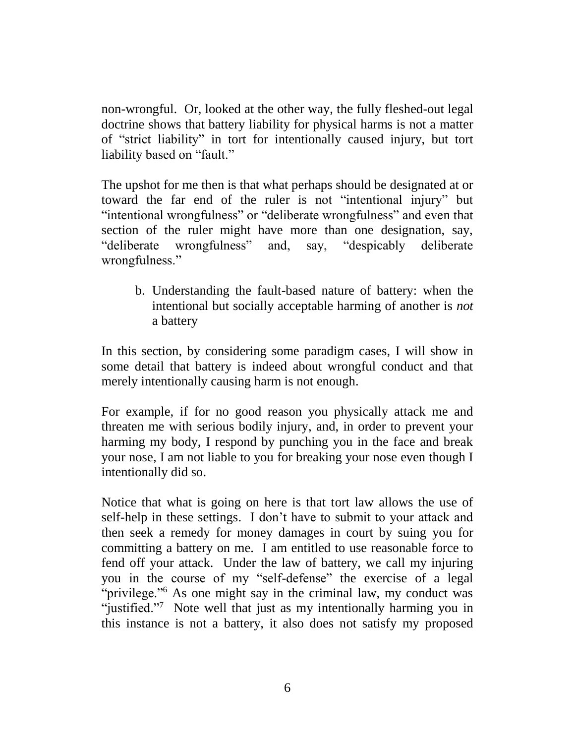non-wrongful. Or, looked at the other way, the fully fleshed-out legal doctrine shows that battery liability for physical harms is not a matter of "strict liability" in tort for intentionally caused injury, but tort liability based on "fault."

The upshot for me then is that what perhaps should be designated at or toward the far end of the ruler is not "intentional injury" but "intentional wrongfulness" or "deliberate wrongfulness" and even that section of the ruler might have more than one designation, say, "deliberate wrongfulness" and, say, "despicably deliberate wrongfulness."

b. Understanding the fault-based nature of battery: when the intentional but socially acceptable harming of another is *not*  a battery

In this section, by considering some paradigm cases, I will show in some detail that battery is indeed about wrongful conduct and that merely intentionally causing harm is not enough.

For example, if for no good reason you physically attack me and threaten me with serious bodily injury, and, in order to prevent your harming my body, I respond by punching you in the face and break your nose, I am not liable to you for breaking your nose even though I intentionally did so.

Notice that what is going on here is that tort law allows the use of self-help in these settings. I don't have to submit to your attack and then seek a remedy for money damages in court by suing you for committing a battery on me. I am entitled to use reasonable force to fend off your attack. Under the law of battery, we call my injuring you in the course of my "self-defense" the exercise of a legal "privilege."<sup>6</sup> As one might say in the criminal law, my conduct was "justified."<sup>7</sup> Note well that just as my intentionally harming you in this instance is not a battery, it also does not satisfy my proposed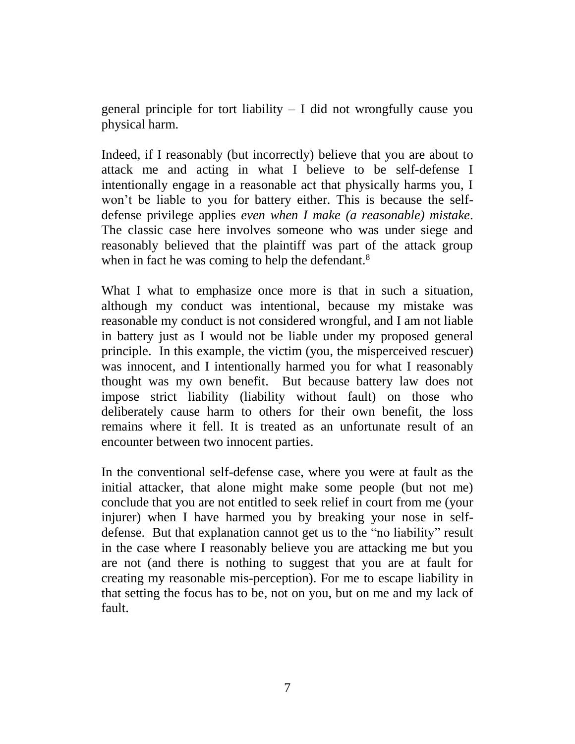general principle for tort liability – I did not wrongfully cause you physical harm.

Indeed, if I reasonably (but incorrectly) believe that you are about to attack me and acting in what I believe to be self-defense I intentionally engage in a reasonable act that physically harms you, I won't be liable to you for battery either. This is because the selfdefense privilege applies *even when I make (a reasonable) mistake*. The classic case here involves someone who was under siege and reasonably believed that the plaintiff was part of the attack group when in fact he was coming to help the defendant.<sup>8</sup>

What I what to emphasize once more is that in such a situation, although my conduct was intentional, because my mistake was reasonable my conduct is not considered wrongful, and I am not liable in battery just as I would not be liable under my proposed general principle. In this example, the victim (you, the misperceived rescuer) was innocent, and I intentionally harmed you for what I reasonably thought was my own benefit. But because battery law does not impose strict liability (liability without fault) on those who deliberately cause harm to others for their own benefit, the loss remains where it fell. It is treated as an unfortunate result of an encounter between two innocent parties.

In the conventional self-defense case, where you were at fault as the initial attacker, that alone might make some people (but not me) conclude that you are not entitled to seek relief in court from me (your injurer) when I have harmed you by breaking your nose in selfdefense. But that explanation cannot get us to the "no liability" result in the case where I reasonably believe you are attacking me but you are not (and there is nothing to suggest that you are at fault for creating my reasonable mis-perception). For me to escape liability in that setting the focus has to be, not on you, but on me and my lack of fault.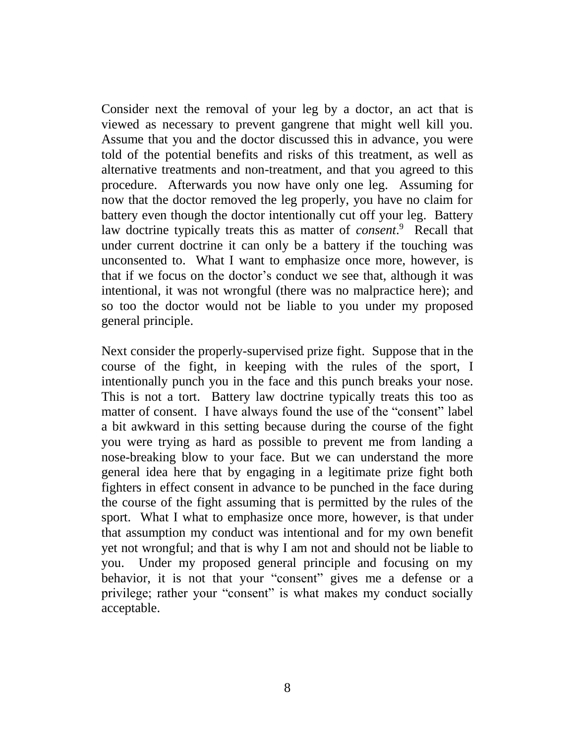Consider next the removal of your leg by a doctor, an act that is viewed as necessary to prevent gangrene that might well kill you. Assume that you and the doctor discussed this in advance, you were told of the potential benefits and risks of this treatment, as well as alternative treatments and non-treatment, and that you agreed to this procedure. Afterwards you now have only one leg. Assuming for now that the doctor removed the leg properly, you have no claim for battery even though the doctor intentionally cut off your leg. Battery law doctrine typically treats this as matter of *consent*. 9 Recall that under current doctrine it can only be a battery if the touching was unconsented to. What I want to emphasize once more, however, is that if we focus on the doctor's conduct we see that, although it was intentional, it was not wrongful (there was no malpractice here); and so too the doctor would not be liable to you under my proposed general principle.

Next consider the properly-supervised prize fight. Suppose that in the course of the fight, in keeping with the rules of the sport, I intentionally punch you in the face and this punch breaks your nose. This is not a tort. Battery law doctrine typically treats this too as matter of consent. I have always found the use of the "consent" label a bit awkward in this setting because during the course of the fight you were trying as hard as possible to prevent me from landing a nose-breaking blow to your face. But we can understand the more general idea here that by engaging in a legitimate prize fight both fighters in effect consent in advance to be punched in the face during the course of the fight assuming that is permitted by the rules of the sport. What I what to emphasize once more, however, is that under that assumption my conduct was intentional and for my own benefit yet not wrongful; and that is why I am not and should not be liable to you. Under my proposed general principle and focusing on my behavior, it is not that your "consent" gives me a defense or a privilege; rather your "consent" is what makes my conduct socially acceptable.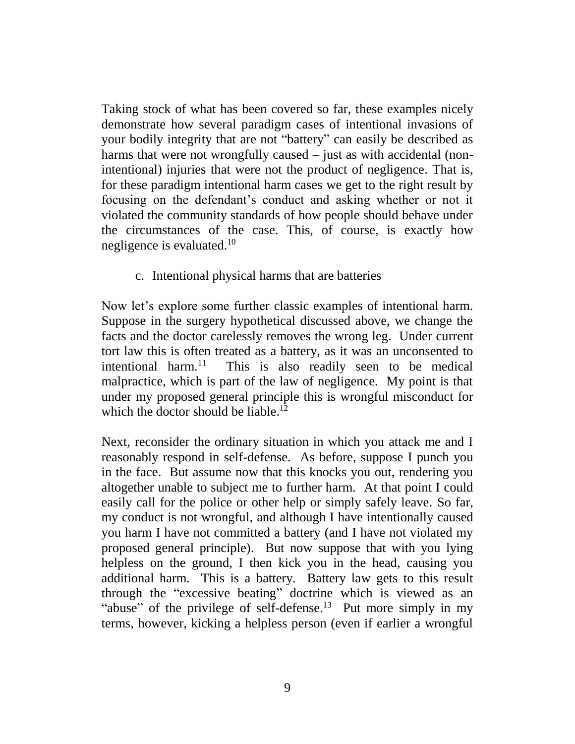Taking stock of what has been covered so far, these examples nicely demonstrate how several paradigm cases of intentional invasions of your bodily integrity that are not "battery" can easily be described as harms that were not wrongfully caused – just as with accidental (nonintentional) injuries that were not the product of negligence. That is, for these paradigm intentional harm cases we get to the right result by focusing on the defendant's conduct and asking whether or not it violated the community standards of how people should behave under the circumstances of the case. This, of course, is exactly how negligence is evaluated.<sup>10</sup>

c. Intentional physical harms that are batteries

Now let's explore some further classic examples of intentional harm. Suppose in the surgery hypothetical discussed above, we change the facts and the doctor carelessly removes the wrong leg. Under current tort law this is often treated as a battery, as it was an unconsented to intentional harm.<sup>11</sup> This is also readily seen to be medical malpractice, which is part of the law of negligence. My point is that under my proposed general principle this is wrongful misconduct for which the doctor should be liable.<sup>12</sup>

Next, reconsider the ordinary situation in which you attack me and I reasonably respond in self-defense. As before, suppose I punch you in the face. But assume now that this knocks you out, rendering you altogether unable to subject me to further harm. At that point I could easily call for the police or other help or simply safely leave. So far, my conduct is not wrongful, and although I have intentionally caused you harm I have not committed a battery (and I have not violated my proposed general principle). But now suppose that with you lying helpless on the ground, I then kick you in the head, causing you additional harm. This is a battery. Battery law gets to this result through the "excessive beating" doctrine which is viewed as an "abuse" of the privilege of self-defense.<sup>13</sup> Put more simply in my terms, however, kicking a helpless person (even if earlier a wrongful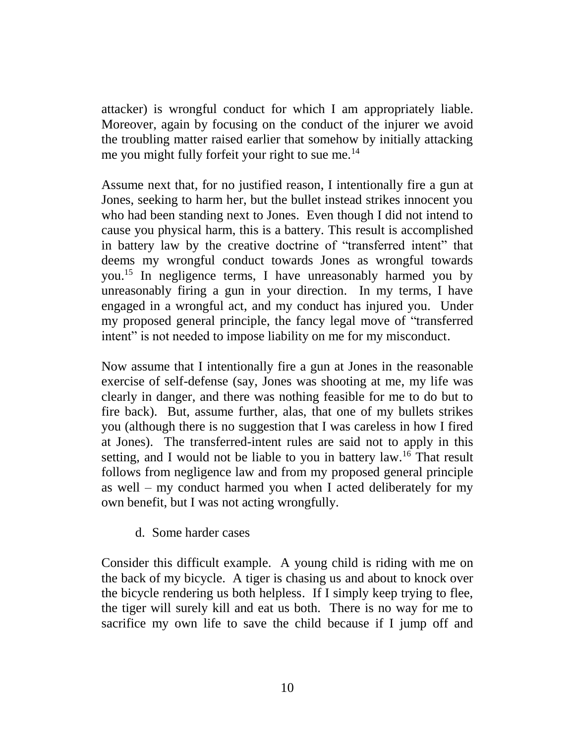attacker) is wrongful conduct for which I am appropriately liable. Moreover, again by focusing on the conduct of the injurer we avoid the troubling matter raised earlier that somehow by initially attacking me you might fully forfeit your right to sue me.<sup>14</sup>

Assume next that, for no justified reason, I intentionally fire a gun at Jones, seeking to harm her, but the bullet instead strikes innocent you who had been standing next to Jones. Even though I did not intend to cause you physical harm, this is a battery. This result is accomplished in battery law by the creative doctrine of "transferred intent" that deems my wrongful conduct towards Jones as wrongful towards you.<sup>15</sup> In negligence terms, I have unreasonably harmed you by unreasonably firing a gun in your direction. In my terms, I have engaged in a wrongful act, and my conduct has injured you. Under my proposed general principle, the fancy legal move of "transferred intent" is not needed to impose liability on me for my misconduct.

Now assume that I intentionally fire a gun at Jones in the reasonable exercise of self-defense (say, Jones was shooting at me, my life was clearly in danger, and there was nothing feasible for me to do but to fire back). But, assume further, alas, that one of my bullets strikes you (although there is no suggestion that I was careless in how I fired at Jones). The transferred-intent rules are said not to apply in this setting, and I would not be liable to you in battery law.<sup>16</sup> That result follows from negligence law and from my proposed general principle as well – my conduct harmed you when I acted deliberately for my own benefit, but I was not acting wrongfully.

d. Some harder cases

Consider this difficult example. A young child is riding with me on the back of my bicycle. A tiger is chasing us and about to knock over the bicycle rendering us both helpless. If I simply keep trying to flee, the tiger will surely kill and eat us both. There is no way for me to sacrifice my own life to save the child because if I jump off and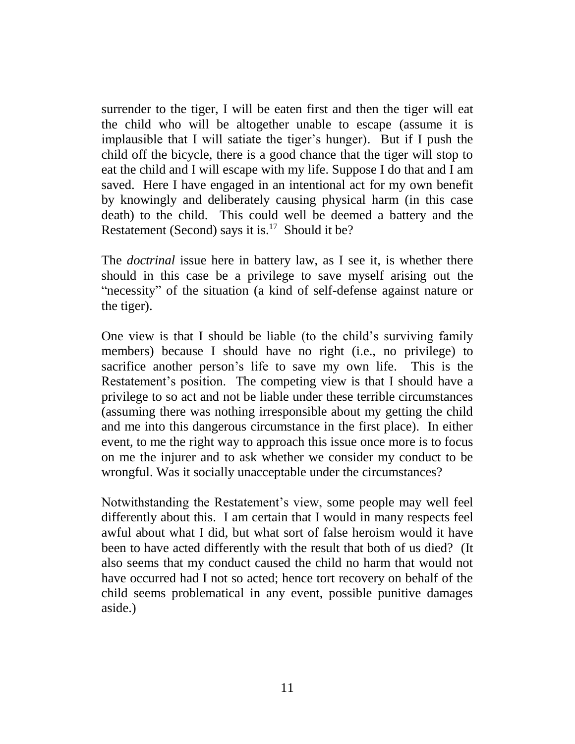surrender to the tiger, I will be eaten first and then the tiger will eat the child who will be altogether unable to escape (assume it is implausible that I will satiate the tiger's hunger). But if I push the child off the bicycle, there is a good chance that the tiger will stop to eat the child and I will escape with my life. Suppose I do that and I am saved. Here I have engaged in an intentional act for my own benefit by knowingly and deliberately causing physical harm (in this case death) to the child. This could well be deemed a battery and the Restatement (Second) says it is.<sup>17</sup> Should it be?

The *doctrinal* issue here in battery law, as I see it, is whether there should in this case be a privilege to save myself arising out the "necessity" of the situation (a kind of self-defense against nature or the tiger).

One view is that I should be liable (to the child's surviving family members) because I should have no right (i.e., no privilege) to sacrifice another person's life to save my own life. This is the Restatement's position. The competing view is that I should have a privilege to so act and not be liable under these terrible circumstances (assuming there was nothing irresponsible about my getting the child and me into this dangerous circumstance in the first place). In either event, to me the right way to approach this issue once more is to focus on me the injurer and to ask whether we consider my conduct to be wrongful. Was it socially unacceptable under the circumstances?

Notwithstanding the Restatement's view, some people may well feel differently about this. I am certain that I would in many respects feel awful about what I did, but what sort of false heroism would it have been to have acted differently with the result that both of us died? (It also seems that my conduct caused the child no harm that would not have occurred had I not so acted; hence tort recovery on behalf of the child seems problematical in any event, possible punitive damages aside.)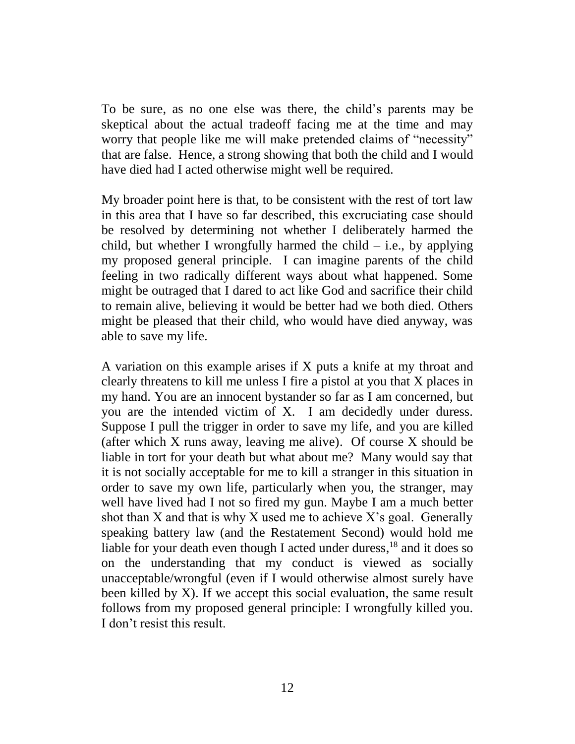To be sure, as no one else was there, the child's parents may be skeptical about the actual tradeoff facing me at the time and may worry that people like me will make pretended claims of "necessity" that are false. Hence, a strong showing that both the child and I would have died had I acted otherwise might well be required.

My broader point here is that, to be consistent with the rest of tort law in this area that I have so far described, this excruciating case should be resolved by determining not whether I deliberately harmed the child, but whether I wrongfully harmed the child  $-$  i.e., by applying my proposed general principle. I can imagine parents of the child feeling in two radically different ways about what happened. Some might be outraged that I dared to act like God and sacrifice their child to remain alive, believing it would be better had we both died. Others might be pleased that their child, who would have died anyway, was able to save my life.

A variation on this example arises if X puts a knife at my throat and clearly threatens to kill me unless I fire a pistol at you that X places in my hand. You are an innocent bystander so far as I am concerned, but you are the intended victim of X. I am decidedly under duress. Suppose I pull the trigger in order to save my life, and you are killed (after which X runs away, leaving me alive). Of course X should be liable in tort for your death but what about me? Many would say that it is not socially acceptable for me to kill a stranger in this situation in order to save my own life, particularly when you, the stranger, may well have lived had I not so fired my gun. Maybe I am a much better shot than X and that is why X used me to achieve X's goal. Generally speaking battery law (and the Restatement Second) would hold me liable for your death even though I acted under duress,<sup>18</sup> and it does so on the understanding that my conduct is viewed as socially unacceptable/wrongful (even if I would otherwise almost surely have been killed by X). If we accept this social evaluation, the same result follows from my proposed general principle: I wrongfully killed you. I don't resist this result.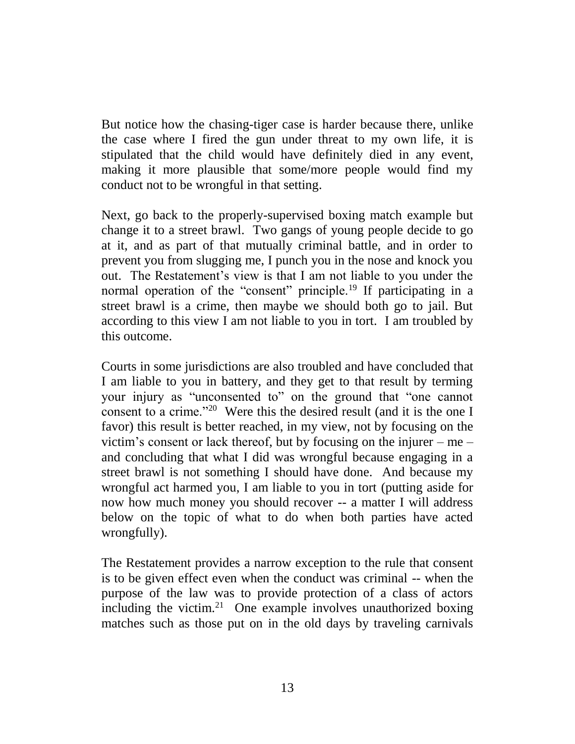But notice how the chasing-tiger case is harder because there, unlike the case where I fired the gun under threat to my own life, it is stipulated that the child would have definitely died in any event, making it more plausible that some/more people would find my conduct not to be wrongful in that setting.

Next, go back to the properly-supervised boxing match example but change it to a street brawl. Two gangs of young people decide to go at it, and as part of that mutually criminal battle, and in order to prevent you from slugging me, I punch you in the nose and knock you out. The Restatement's view is that I am not liable to you under the normal operation of the "consent" principle.<sup>19</sup> If participating in a street brawl is a crime, then maybe we should both go to jail. But according to this view I am not liable to you in tort. I am troubled by this outcome.

Courts in some jurisdictions are also troubled and have concluded that I am liable to you in battery, and they get to that result by terming your injury as "unconsented to" on the ground that "one cannot consent to a crime."<sup>20</sup> Were this the desired result (and it is the one I favor) this result is better reached, in my view, not by focusing on the victim's consent or lack thereof, but by focusing on the injurer – me – and concluding that what I did was wrongful because engaging in a street brawl is not something I should have done. And because my wrongful act harmed you, I am liable to you in tort (putting aside for now how much money you should recover -- a matter I will address below on the topic of what to do when both parties have acted wrongfully).

The Restatement provides a narrow exception to the rule that consent is to be given effect even when the conduct was criminal -- when the purpose of the law was to provide protection of a class of actors including the victim.<sup>21</sup> One example involves unauthorized boxing matches such as those put on in the old days by traveling carnivals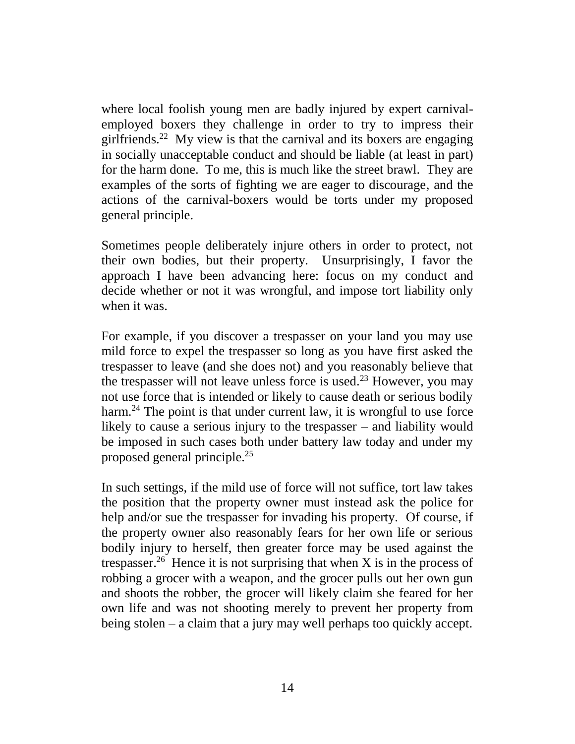where local foolish young men are badly injured by expert carnivalemployed boxers they challenge in order to try to impress their girlfriends.<sup>22</sup> My view is that the carnival and its boxers are engaging in socially unacceptable conduct and should be liable (at least in part) for the harm done. To me, this is much like the street brawl. They are examples of the sorts of fighting we are eager to discourage, and the actions of the carnival-boxers would be torts under my proposed general principle.

Sometimes people deliberately injure others in order to protect, not their own bodies, but their property. Unsurprisingly, I favor the approach I have been advancing here: focus on my conduct and decide whether or not it was wrongful, and impose tort liability only when it was.

For example, if you discover a trespasser on your land you may use mild force to expel the trespasser so long as you have first asked the trespasser to leave (and she does not) and you reasonably believe that the trespasser will not leave unless force is used.<sup>23</sup> However, you may not use force that is intended or likely to cause death or serious bodily harm.<sup>24</sup> The point is that under current law, it is wrongful to use force likely to cause a serious injury to the trespasser – and liability would be imposed in such cases both under battery law today and under my proposed general principle.<sup>25</sup>

In such settings, if the mild use of force will not suffice, tort law takes the position that the property owner must instead ask the police for help and/or sue the trespasser for invading his property. Of course, if the property owner also reasonably fears for her own life or serious bodily injury to herself, then greater force may be used against the trespasser.<sup>26</sup> Hence it is not surprising that when X is in the process of robbing a grocer with a weapon, and the grocer pulls out her own gun and shoots the robber, the grocer will likely claim she feared for her own life and was not shooting merely to prevent her property from being stolen – a claim that a jury may well perhaps too quickly accept.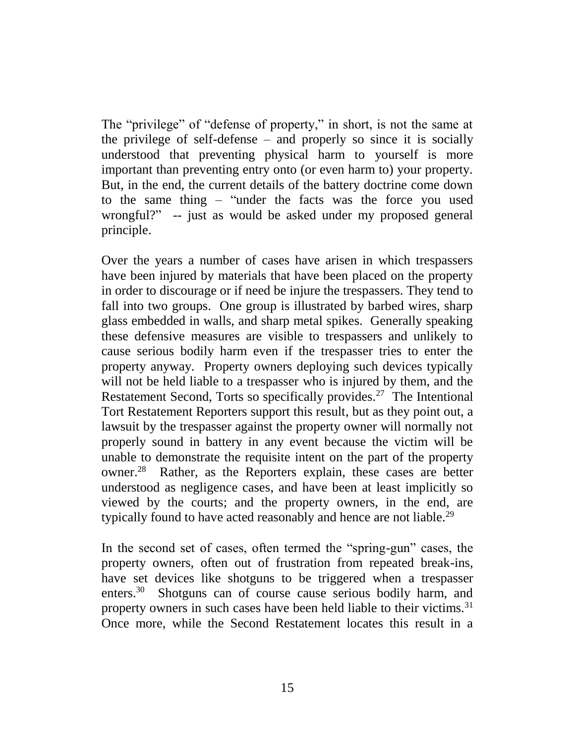The "privilege" of "defense of property," in short, is not the same at the privilege of self-defense – and properly so since it is socially understood that preventing physical harm to yourself is more important than preventing entry onto (or even harm to) your property. But, in the end, the current details of the battery doctrine come down to the same thing – "under the facts was the force you used wrongful?" -- just as would be asked under my proposed general principle.

Over the years a number of cases have arisen in which trespassers have been injured by materials that have been placed on the property in order to discourage or if need be injure the trespassers. They tend to fall into two groups. One group is illustrated by barbed wires, sharp glass embedded in walls, and sharp metal spikes. Generally speaking these defensive measures are visible to trespassers and unlikely to cause serious bodily harm even if the trespasser tries to enter the property anyway. Property owners deploying such devices typically will not be held liable to a trespasser who is injured by them, and the Restatement Second, Torts so specifically provides.<sup>27</sup> The Intentional Tort Restatement Reporters support this result, but as they point out, a lawsuit by the trespasser against the property owner will normally not properly sound in battery in any event because the victim will be unable to demonstrate the requisite intent on the part of the property owner.<sup>28</sup> Rather, as the Reporters explain, these cases are better understood as negligence cases, and have been at least implicitly so viewed by the courts; and the property owners, in the end, are typically found to have acted reasonably and hence are not liable.<sup>29</sup>

In the second set of cases, often termed the "spring-gun" cases, the property owners, often out of frustration from repeated break-ins, have set devices like shotguns to be triggered when a trespasser enters. $30<sup>30</sup>$  Shotguns can of course cause serious bodily harm, and property owners in such cases have been held liable to their victims.<sup>31</sup> Once more, while the Second Restatement locates this result in a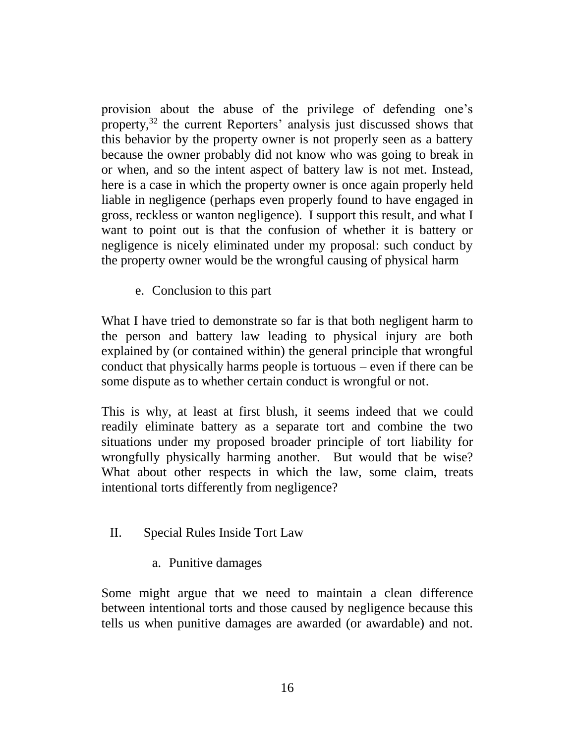provision about the abuse of the privilege of defending one's property,<sup>32</sup> the current Reporters' analysis just discussed shows that this behavior by the property owner is not properly seen as a battery because the owner probably did not know who was going to break in or when, and so the intent aspect of battery law is not met. Instead, here is a case in which the property owner is once again properly held liable in negligence (perhaps even properly found to have engaged in gross, reckless or wanton negligence). I support this result, and what I want to point out is that the confusion of whether it is battery or negligence is nicely eliminated under my proposal: such conduct by the property owner would be the wrongful causing of physical harm

e. Conclusion to this part

What I have tried to demonstrate so far is that both negligent harm to the person and battery law leading to physical injury are both explained by (or contained within) the general principle that wrongful conduct that physically harms people is tortuous – even if there can be some dispute as to whether certain conduct is wrongful or not.

This is why, at least at first blush, it seems indeed that we could readily eliminate battery as a separate tort and combine the two situations under my proposed broader principle of tort liability for wrongfully physically harming another. But would that be wise? What about other respects in which the law, some claim, treats intentional torts differently from negligence?

- II. Special Rules Inside Tort Law
	- a. Punitive damages

Some might argue that we need to maintain a clean difference between intentional torts and those caused by negligence because this tells us when punitive damages are awarded (or awardable) and not.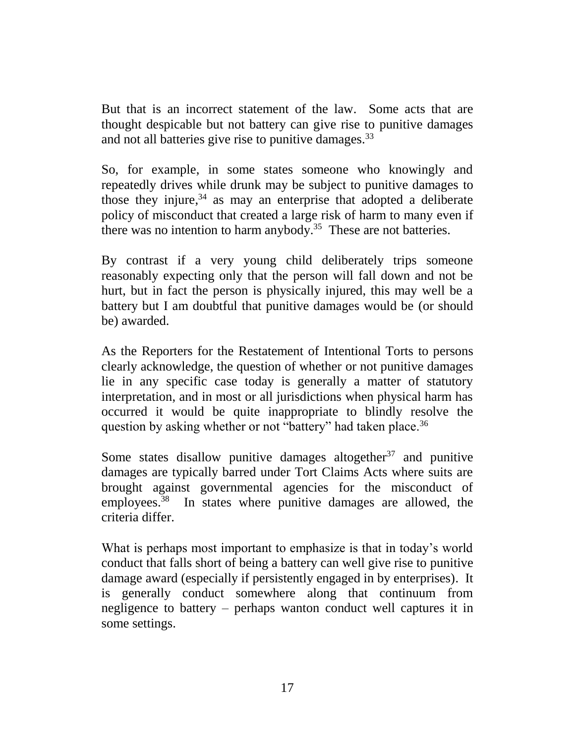But that is an incorrect statement of the law. Some acts that are thought despicable but not battery can give rise to punitive damages and not all batteries give rise to punitive damages.<sup>33</sup>

So, for example, in some states someone who knowingly and repeatedly drives while drunk may be subject to punitive damages to those they injure,  $34$  as may an enterprise that adopted a deliberate policy of misconduct that created a large risk of harm to many even if there was no intention to harm anybody.<sup>35</sup> These are not batteries.

By contrast if a very young child deliberately trips someone reasonably expecting only that the person will fall down and not be hurt, but in fact the person is physically injured, this may well be a battery but I am doubtful that punitive damages would be (or should be) awarded.

As the Reporters for the Restatement of Intentional Torts to persons clearly acknowledge, the question of whether or not punitive damages lie in any specific case today is generally a matter of statutory interpretation, and in most or all jurisdictions when physical harm has occurred it would be quite inappropriate to blindly resolve the question by asking whether or not "battery" had taken place.<sup>36</sup>

Some states disallow punitive damages altogether $37$  and punitive damages are typically barred under Tort Claims Acts where suits are brought against governmental agencies for the misconduct of employees.<sup>38</sup> In states where punitive damages are allowed, the criteria differ.

What is perhaps most important to emphasize is that in today's world conduct that falls short of being a battery can well give rise to punitive damage award (especially if persistently engaged in by enterprises). It is generally conduct somewhere along that continuum from negligence to battery – perhaps wanton conduct well captures it in some settings.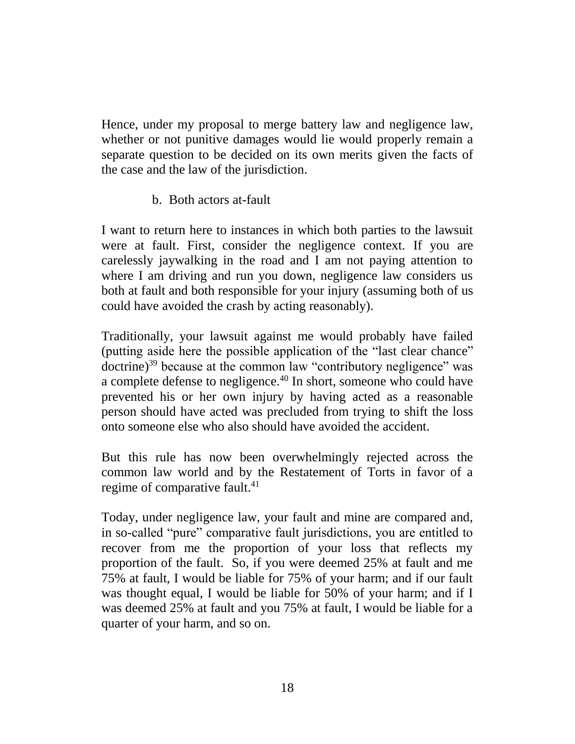Hence, under my proposal to merge battery law and negligence law, whether or not punitive damages would lie would properly remain a separate question to be decided on its own merits given the facts of the case and the law of the jurisdiction.

b. Both actors at-fault

I want to return here to instances in which both parties to the lawsuit were at fault. First, consider the negligence context. If you are carelessly jaywalking in the road and I am not paying attention to where I am driving and run you down, negligence law considers us both at fault and both responsible for your injury (assuming both of us could have avoided the crash by acting reasonably).

Traditionally, your lawsuit against me would probably have failed (putting aside here the possible application of the "last clear chance" doctrine)<sup>39</sup> because at the common law "contributory negligence" was a complete defense to negligence.<sup>40</sup> In short, someone who could have prevented his or her own injury by having acted as a reasonable person should have acted was precluded from trying to shift the loss onto someone else who also should have avoided the accident.

But this rule has now been overwhelmingly rejected across the common law world and by the Restatement of Torts in favor of a regime of comparative fault.<sup>41</sup>

Today, under negligence law, your fault and mine are compared and, in so-called "pure" comparative fault jurisdictions, you are entitled to recover from me the proportion of your loss that reflects my proportion of the fault. So, if you were deemed 25% at fault and me 75% at fault, I would be liable for 75% of your harm; and if our fault was thought equal, I would be liable for 50% of your harm; and if I was deemed 25% at fault and you 75% at fault, I would be liable for a quarter of your harm, and so on.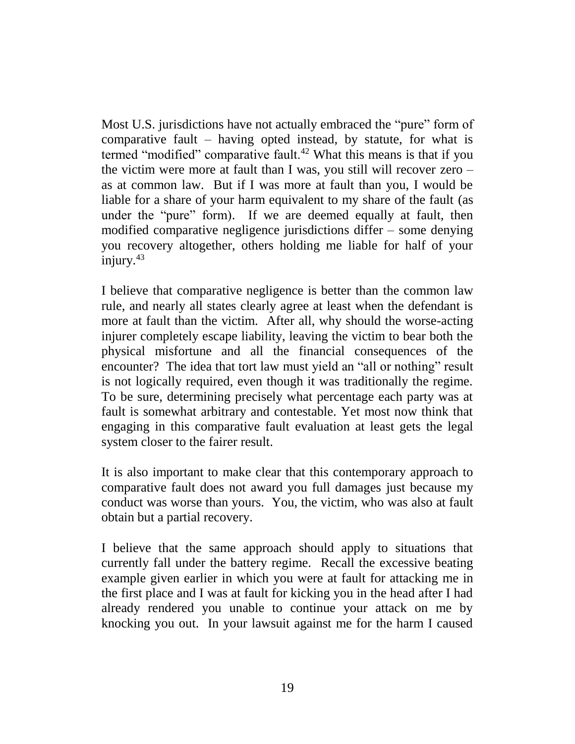Most U.S. jurisdictions have not actually embraced the "pure" form of comparative fault – having opted instead, by statute, for what is termed "modified" comparative fault.<sup>42</sup> What this means is that if you the victim were more at fault than I was, you still will recover zero – as at common law. But if I was more at fault than you, I would be liable for a share of your harm equivalent to my share of the fault (as under the "pure" form). If we are deemed equally at fault, then modified comparative negligence jurisdictions differ – some denying you recovery altogether, others holding me liable for half of your injury.<sup>43</sup>

I believe that comparative negligence is better than the common law rule, and nearly all states clearly agree at least when the defendant is more at fault than the victim. After all, why should the worse-acting injurer completely escape liability, leaving the victim to bear both the physical misfortune and all the financial consequences of the encounter? The idea that tort law must yield an "all or nothing" result is not logically required, even though it was traditionally the regime. To be sure, determining precisely what percentage each party was at fault is somewhat arbitrary and contestable. Yet most now think that engaging in this comparative fault evaluation at least gets the legal system closer to the fairer result.

It is also important to make clear that this contemporary approach to comparative fault does not award you full damages just because my conduct was worse than yours. You, the victim, who was also at fault obtain but a partial recovery.

I believe that the same approach should apply to situations that currently fall under the battery regime. Recall the excessive beating example given earlier in which you were at fault for attacking me in the first place and I was at fault for kicking you in the head after I had already rendered you unable to continue your attack on me by knocking you out. In your lawsuit against me for the harm I caused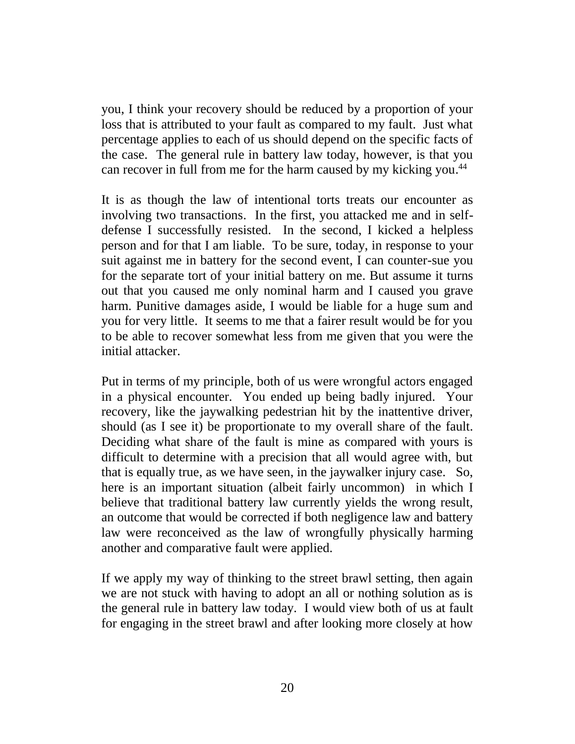you, I think your recovery should be reduced by a proportion of your loss that is attributed to your fault as compared to my fault. Just what percentage applies to each of us should depend on the specific facts of the case. The general rule in battery law today, however, is that you can recover in full from me for the harm caused by my kicking you.<sup>44</sup>

It is as though the law of intentional torts treats our encounter as involving two transactions. In the first, you attacked me and in selfdefense I successfully resisted. In the second, I kicked a helpless person and for that I am liable. To be sure, today, in response to your suit against me in battery for the second event, I can counter-sue you for the separate tort of your initial battery on me. But assume it turns out that you caused me only nominal harm and I caused you grave harm. Punitive damages aside, I would be liable for a huge sum and you for very little. It seems to me that a fairer result would be for you to be able to recover somewhat less from me given that you were the initial attacker.

Put in terms of my principle, both of us were wrongful actors engaged in a physical encounter. You ended up being badly injured. Your recovery, like the jaywalking pedestrian hit by the inattentive driver, should (as I see it) be proportionate to my overall share of the fault. Deciding what share of the fault is mine as compared with yours is difficult to determine with a precision that all would agree with, but that is equally true, as we have seen, in the jaywalker injury case. So, here is an important situation (albeit fairly uncommon) in which I believe that traditional battery law currently yields the wrong result, an outcome that would be corrected if both negligence law and battery law were reconceived as the law of wrongfully physically harming another and comparative fault were applied.

If we apply my way of thinking to the street brawl setting, then again we are not stuck with having to adopt an all or nothing solution as is the general rule in battery law today. I would view both of us at fault for engaging in the street brawl and after looking more closely at how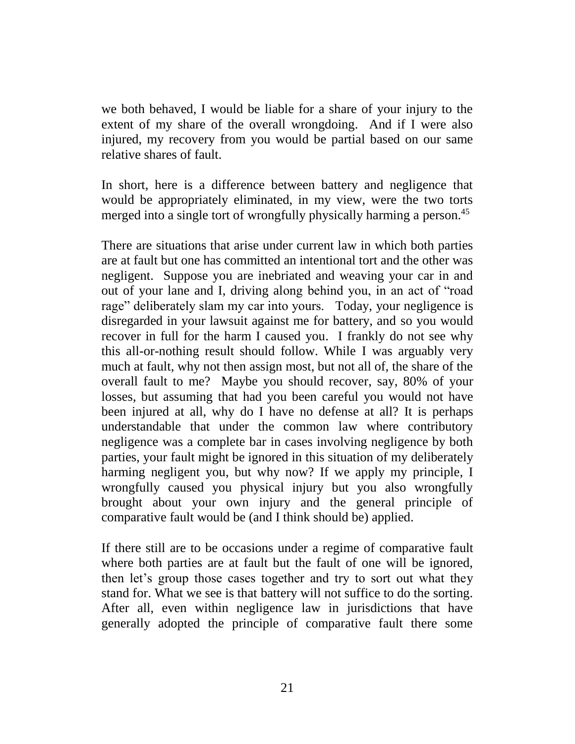we both behaved, I would be liable for a share of your injury to the extent of my share of the overall wrongdoing. And if I were also injured, my recovery from you would be partial based on our same relative shares of fault.

In short, here is a difference between battery and negligence that would be appropriately eliminated, in my view, were the two torts merged into a single tort of wrongfully physically harming a person.<sup>45</sup>

There are situations that arise under current law in which both parties are at fault but one has committed an intentional tort and the other was negligent. Suppose you are inebriated and weaving your car in and out of your lane and I, driving along behind you, in an act of "road rage" deliberately slam my car into yours. Today, your negligence is disregarded in your lawsuit against me for battery, and so you would recover in full for the harm I caused you. I frankly do not see why this all-or-nothing result should follow. While I was arguably very much at fault, why not then assign most, but not all of, the share of the overall fault to me? Maybe you should recover, say, 80% of your losses, but assuming that had you been careful you would not have been injured at all, why do I have no defense at all? It is perhaps understandable that under the common law where contributory negligence was a complete bar in cases involving negligence by both parties, your fault might be ignored in this situation of my deliberately harming negligent you, but why now? If we apply my principle, I wrongfully caused you physical injury but you also wrongfully brought about your own injury and the general principle of comparative fault would be (and I think should be) applied.

If there still are to be occasions under a regime of comparative fault where both parties are at fault but the fault of one will be ignored, then let's group those cases together and try to sort out what they stand for. What we see is that battery will not suffice to do the sorting. After all, even within negligence law in jurisdictions that have generally adopted the principle of comparative fault there some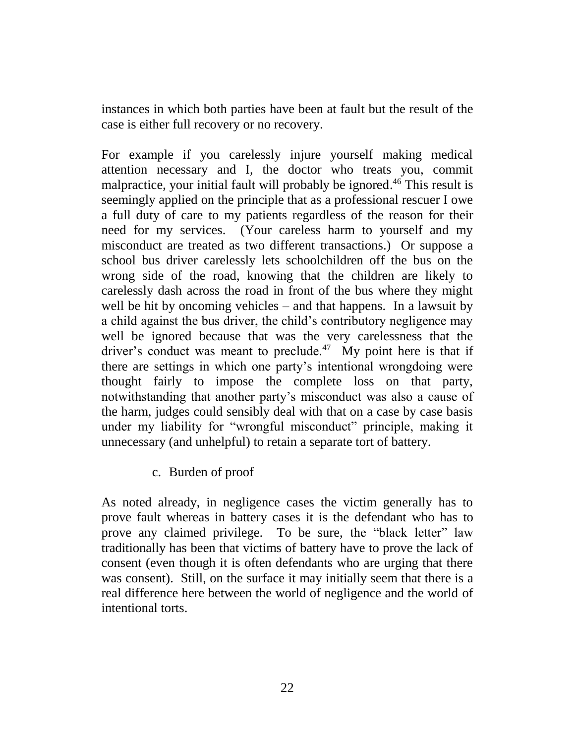instances in which both parties have been at fault but the result of the case is either full recovery or no recovery.

For example if you carelessly injure yourself making medical attention necessary and I, the doctor who treats you, commit malpractice, your initial fault will probably be ignored.<sup>46</sup> This result is seemingly applied on the principle that as a professional rescuer I owe a full duty of care to my patients regardless of the reason for their need for my services. (Your careless harm to yourself and my misconduct are treated as two different transactions.) Or suppose a school bus driver carelessly lets schoolchildren off the bus on the wrong side of the road, knowing that the children are likely to carelessly dash across the road in front of the bus where they might well be hit by oncoming vehicles – and that happens. In a lawsuit by a child against the bus driver, the child's contributory negligence may well be ignored because that was the very carelessness that the driver's conduct was meant to preclude.<sup>47</sup> My point here is that if there are settings in which one party's intentional wrongdoing were thought fairly to impose the complete loss on that party, notwithstanding that another party's misconduct was also a cause of the harm, judges could sensibly deal with that on a case by case basis under my liability for "wrongful misconduct" principle, making it unnecessary (and unhelpful) to retain a separate tort of battery.

c. Burden of proof

As noted already, in negligence cases the victim generally has to prove fault whereas in battery cases it is the defendant who has to prove any claimed privilege. To be sure, the "black letter" law traditionally has been that victims of battery have to prove the lack of consent (even though it is often defendants who are urging that there was consent). Still, on the surface it may initially seem that there is a real difference here between the world of negligence and the world of intentional torts.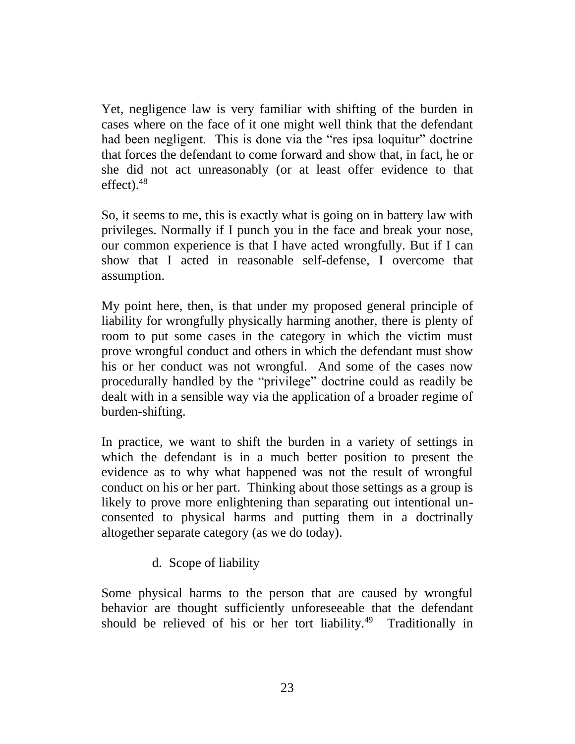Yet, negligence law is very familiar with shifting of the burden in cases where on the face of it one might well think that the defendant had been negligent. This is done via the "res ipsa loquitur" doctrine that forces the defendant to come forward and show that, in fact, he or she did not act unreasonably (or at least offer evidence to that effect). 48

So, it seems to me, this is exactly what is going on in battery law with privileges. Normally if I punch you in the face and break your nose, our common experience is that I have acted wrongfully. But if I can show that I acted in reasonable self-defense, I overcome that assumption.

My point here, then, is that under my proposed general principle of liability for wrongfully physically harming another, there is plenty of room to put some cases in the category in which the victim must prove wrongful conduct and others in which the defendant must show his or her conduct was not wrongful. And some of the cases now procedurally handled by the "privilege" doctrine could as readily be dealt with in a sensible way via the application of a broader regime of burden-shifting.

In practice, we want to shift the burden in a variety of settings in which the defendant is in a much better position to present the evidence as to why what happened was not the result of wrongful conduct on his or her part. Thinking about those settings as a group is likely to prove more enlightening than separating out intentional unconsented to physical harms and putting them in a doctrinally altogether separate category (as we do today).

# d. Scope of liability

Some physical harms to the person that are caused by wrongful behavior are thought sufficiently unforeseeable that the defendant should be relieved of his or her tort liability.<sup>49</sup> Traditionally in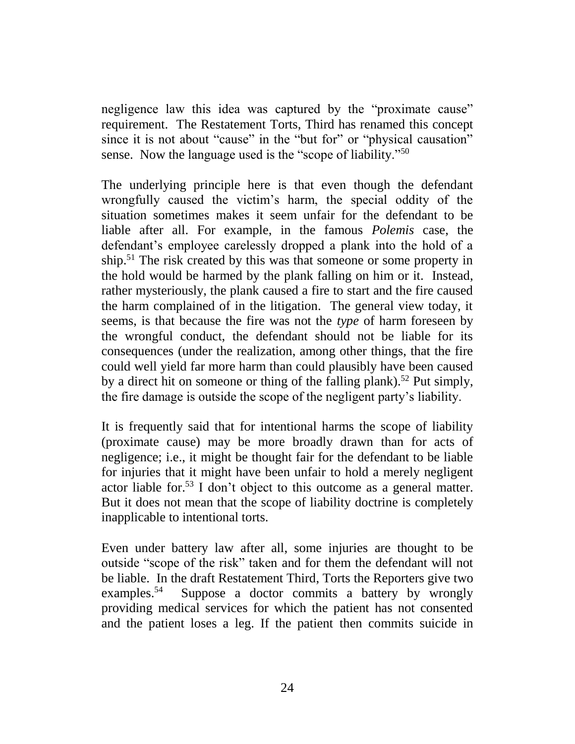negligence law this idea was captured by the "proximate cause" requirement. The Restatement Torts, Third has renamed this concept since it is not about "cause" in the "but for" or "physical causation" sense. Now the language used is the "scope of liability."<sup>50</sup>

The underlying principle here is that even though the defendant wrongfully caused the victim's harm, the special oddity of the situation sometimes makes it seem unfair for the defendant to be liable after all. For example, in the famous *Polemis* case, the defendant's employee carelessly dropped a plank into the hold of a ship.<sup>51</sup> The risk created by this was that someone or some property in the hold would be harmed by the plank falling on him or it. Instead, rather mysteriously, the plank caused a fire to start and the fire caused the harm complained of in the litigation. The general view today, it seems, is that because the fire was not the *type* of harm foreseen by the wrongful conduct, the defendant should not be liable for its consequences (under the realization, among other things, that the fire could well yield far more harm than could plausibly have been caused by a direct hit on someone or thing of the falling plank).<sup>52</sup> Put simply, the fire damage is outside the scope of the negligent party's liability.

It is frequently said that for intentional harms the scope of liability (proximate cause) may be more broadly drawn than for acts of negligence; i.e., it might be thought fair for the defendant to be liable for injuries that it might have been unfair to hold a merely negligent actor liable for.<sup>53</sup> I don't object to this outcome as a general matter. But it does not mean that the scope of liability doctrine is completely inapplicable to intentional torts.

Even under battery law after all, some injuries are thought to be outside "scope of the risk" taken and for them the defendant will not be liable. In the draft Restatement Third, Torts the Reporters give two examples.<sup>54</sup> Suppose a doctor commits a battery by wrongly providing medical services for which the patient has not consented and the patient loses a leg. If the patient then commits suicide in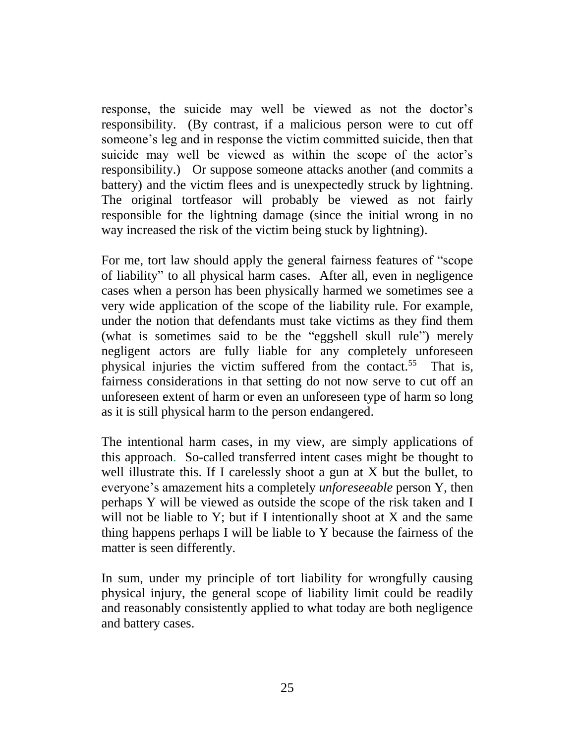response, the suicide may well be viewed as not the doctor's responsibility. (By contrast, if a malicious person were to cut off someone's leg and in response the victim committed suicide, then that suicide may well be viewed as within the scope of the actor's responsibility.) Or suppose someone attacks another (and commits a battery) and the victim flees and is unexpectedly struck by lightning. The original tortfeasor will probably be viewed as not fairly responsible for the lightning damage (since the initial wrong in no way increased the risk of the victim being stuck by lightning).

For me, tort law should apply the general fairness features of "scope of liability" to all physical harm cases. After all, even in negligence cases when a person has been physically harmed we sometimes see a very wide application of the scope of the liability rule. For example, under the notion that defendants must take victims as they find them (what is sometimes said to be the "eggshell skull rule") merely negligent actors are fully liable for any completely unforeseen physical injuries the victim suffered from the contact.<sup>55</sup> That is, fairness considerations in that setting do not now serve to cut off an unforeseen extent of harm or even an unforeseen type of harm so long as it is still physical harm to the person endangered.

The intentional harm cases, in my view, are simply applications of this approach. So-called transferred intent cases might be thought to well illustrate this. If I carelessly shoot a gun at X but the bullet, to everyone's amazement hits a completely *unforeseeable* person Y, then perhaps Y will be viewed as outside the scope of the risk taken and I will not be liable to  $Y$ ; but if I intentionally shoot at  $X$  and the same thing happens perhaps I will be liable to Y because the fairness of the matter is seen differently.

In sum, under my principle of tort liability for wrongfully causing physical injury, the general scope of liability limit could be readily and reasonably consistently applied to what today are both negligence and battery cases.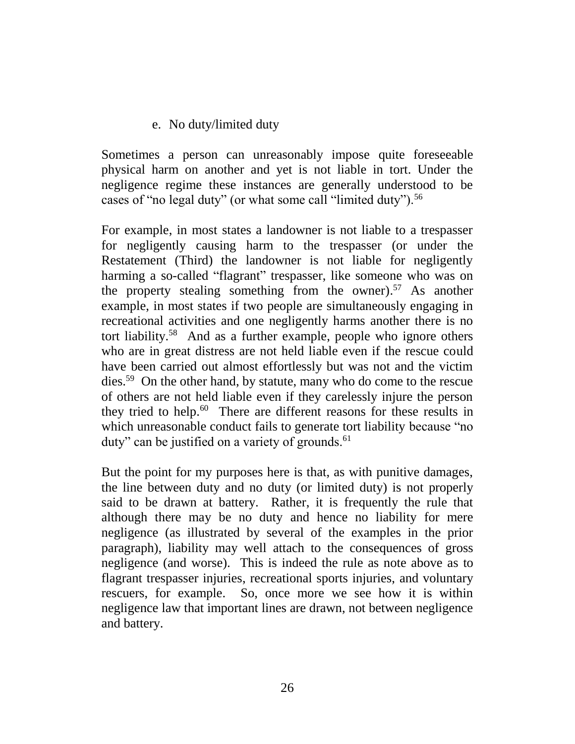## e. No duty/limited duty

Sometimes a person can unreasonably impose quite foreseeable physical harm on another and yet is not liable in tort. Under the negligence regime these instances are generally understood to be cases of "no legal duty" (or what some call "limited duty").<sup>56</sup>

For example, in most states a landowner is not liable to a trespasser for negligently causing harm to the trespasser (or under the Restatement (Third) the landowner is not liable for negligently harming a so-called "flagrant" trespasser, like someone who was on the property stealing something from the owner). <sup>57</sup> As another example, in most states if two people are simultaneously engaging in recreational activities and one negligently harms another there is no tort liability.<sup>58</sup> And as a further example, people who ignore others who are in great distress are not held liable even if the rescue could have been carried out almost effortlessly but was not and the victim dies.<sup>59</sup> On the other hand, by statute, many who do come to the rescue of others are not held liable even if they carelessly injure the person they tried to help.<sup>60</sup> There are different reasons for these results in which unreasonable conduct fails to generate tort liability because "no duty" can be justified on a variety of grounds.<sup>61</sup>

But the point for my purposes here is that, as with punitive damages, the line between duty and no duty (or limited duty) is not properly said to be drawn at battery. Rather, it is frequently the rule that although there may be no duty and hence no liability for mere negligence (as illustrated by several of the examples in the prior paragraph), liability may well attach to the consequences of gross negligence (and worse). This is indeed the rule as note above as to flagrant trespasser injuries, recreational sports injuries, and voluntary rescuers, for example. So, once more we see how it is within negligence law that important lines are drawn, not between negligence and battery.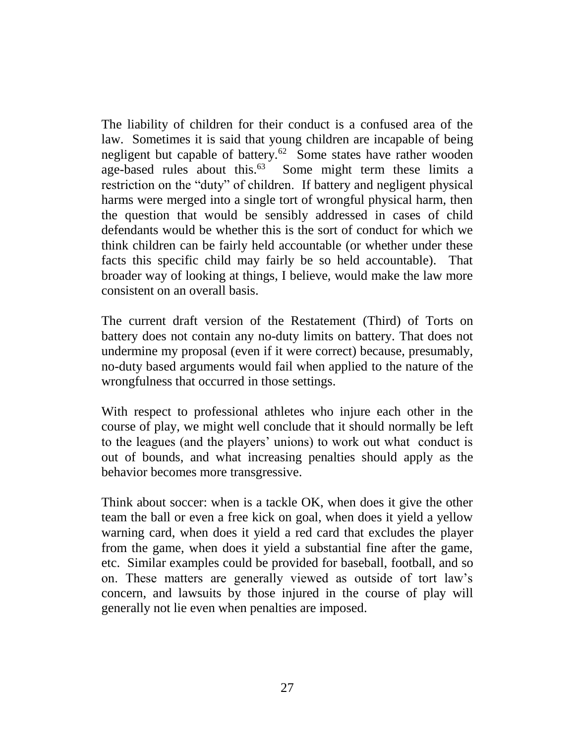The liability of children for their conduct is a confused area of the law. Sometimes it is said that young children are incapable of being negligent but capable of battery.<sup>62</sup> Some states have rather wooden age-based rules about this. $63$  Some might term these limits a restriction on the "duty" of children. If battery and negligent physical harms were merged into a single tort of wrongful physical harm, then the question that would be sensibly addressed in cases of child defendants would be whether this is the sort of conduct for which we think children can be fairly held accountable (or whether under these facts this specific child may fairly be so held accountable). That broader way of looking at things, I believe, would make the law more consistent on an overall basis.

The current draft version of the Restatement (Third) of Torts on battery does not contain any no-duty limits on battery. That does not undermine my proposal (even if it were correct) because, presumably, no-duty based arguments would fail when applied to the nature of the wrongfulness that occurred in those settings.

With respect to professional athletes who injure each other in the course of play, we might well conclude that it should normally be left to the leagues (and the players' unions) to work out what conduct is out of bounds, and what increasing penalties should apply as the behavior becomes more transgressive.

Think about soccer: when is a tackle OK, when does it give the other team the ball or even a free kick on goal, when does it yield a yellow warning card, when does it yield a red card that excludes the player from the game, when does it yield a substantial fine after the game, etc. Similar examples could be provided for baseball, football, and so on. These matters are generally viewed as outside of tort law's concern, and lawsuits by those injured in the course of play will generally not lie even when penalties are imposed.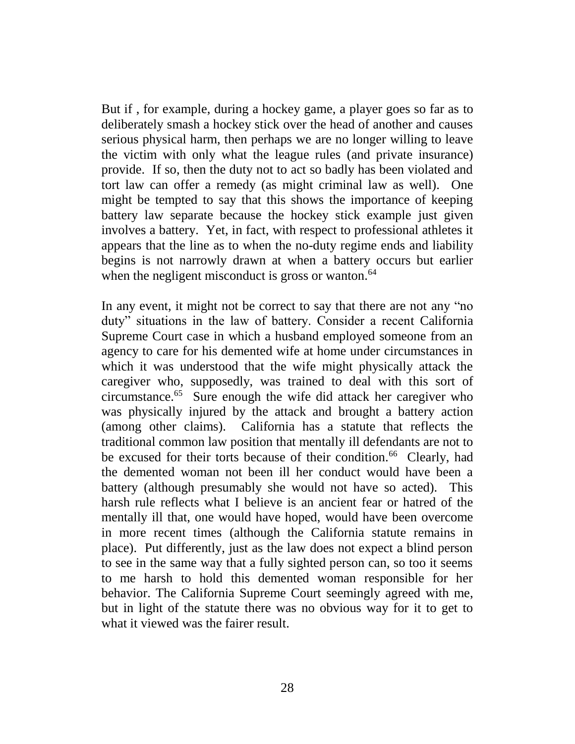But if , for example, during a hockey game, a player goes so far as to deliberately smash a hockey stick over the head of another and causes serious physical harm, then perhaps we are no longer willing to leave the victim with only what the league rules (and private insurance) provide. If so, then the duty not to act so badly has been violated and tort law can offer a remedy (as might criminal law as well). One might be tempted to say that this shows the importance of keeping battery law separate because the hockey stick example just given involves a battery. Yet, in fact, with respect to professional athletes it appears that the line as to when the no-duty regime ends and liability begins is not narrowly drawn at when a battery occurs but earlier when the negligent misconduct is gross or wanton.<sup>64</sup>

In any event, it might not be correct to say that there are not any "no duty" situations in the law of battery. Consider a recent California Supreme Court case in which a husband employed someone from an agency to care for his demented wife at home under circumstances in which it was understood that the wife might physically attack the caregiver who, supposedly, was trained to deal with this sort of circumstance.<sup>65</sup> Sure enough the wife did attack her caregiver who was physically injured by the attack and brought a battery action (among other claims). California has a statute that reflects the traditional common law position that mentally ill defendants are not to be excused for their torts because of their condition.<sup>66</sup> Clearly, had the demented woman not been ill her conduct would have been a battery (although presumably she would not have so acted). This harsh rule reflects what I believe is an ancient fear or hatred of the mentally ill that, one would have hoped, would have been overcome in more recent times (although the California statute remains in place). Put differently, just as the law does not expect a blind person to see in the same way that a fully sighted person can, so too it seems to me harsh to hold this demented woman responsible for her behavior. The California Supreme Court seemingly agreed with me, but in light of the statute there was no obvious way for it to get to what it viewed was the fairer result.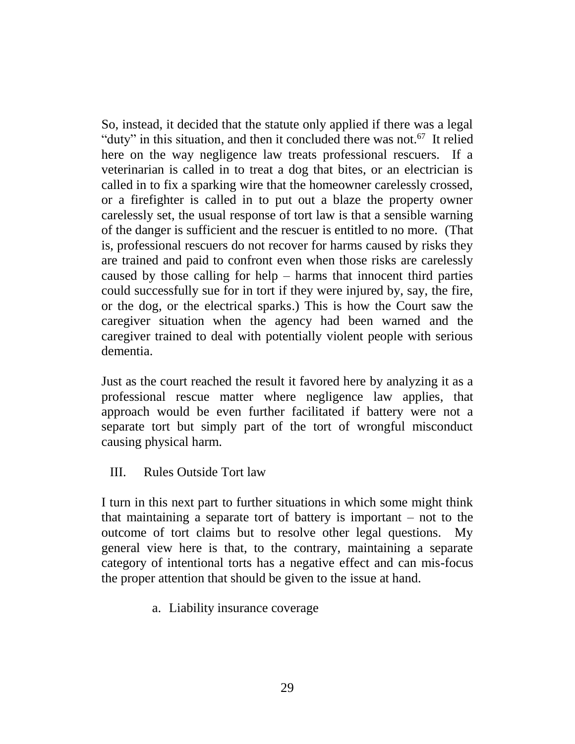So, instead, it decided that the statute only applied if there was a legal "duty" in this situation, and then it concluded there was not.<sup>67</sup> It relied here on the way negligence law treats professional rescuers. If a veterinarian is called in to treat a dog that bites, or an electrician is called in to fix a sparking wire that the homeowner carelessly crossed, or a firefighter is called in to put out a blaze the property owner carelessly set, the usual response of tort law is that a sensible warning of the danger is sufficient and the rescuer is entitled to no more. (That is, professional rescuers do not recover for harms caused by risks they are trained and paid to confront even when those risks are carelessly caused by those calling for help – harms that innocent third parties could successfully sue for in tort if they were injured by, say, the fire, or the dog, or the electrical sparks.) This is how the Court saw the caregiver situation when the agency had been warned and the caregiver trained to deal with potentially violent people with serious dementia.

Just as the court reached the result it favored here by analyzing it as a professional rescue matter where negligence law applies, that approach would be even further facilitated if battery were not a separate tort but simply part of the tort of wrongful misconduct causing physical harm.

III. Rules Outside Tort law

I turn in this next part to further situations in which some might think that maintaining a separate tort of battery is important – not to the outcome of tort claims but to resolve other legal questions. My general view here is that, to the contrary, maintaining a separate category of intentional torts has a negative effect and can mis-focus the proper attention that should be given to the issue at hand.

a. Liability insurance coverage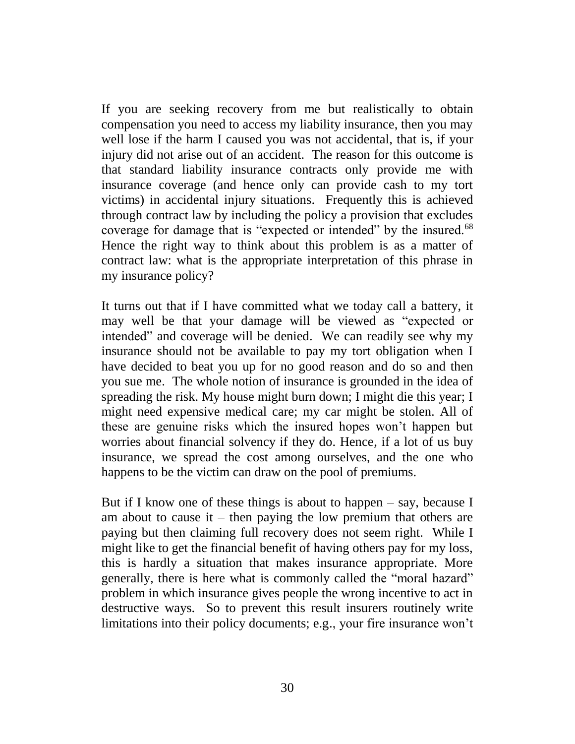If you are seeking recovery from me but realistically to obtain compensation you need to access my liability insurance, then you may well lose if the harm I caused you was not accidental, that is, if your injury did not arise out of an accident. The reason for this outcome is that standard liability insurance contracts only provide me with insurance coverage (and hence only can provide cash to my tort victims) in accidental injury situations. Frequently this is achieved through contract law by including the policy a provision that excludes coverage for damage that is "expected or intended" by the insured.<sup>68</sup> Hence the right way to think about this problem is as a matter of contract law: what is the appropriate interpretation of this phrase in my insurance policy?

It turns out that if I have committed what we today call a battery, it may well be that your damage will be viewed as "expected or intended" and coverage will be denied. We can readily see why my insurance should not be available to pay my tort obligation when I have decided to beat you up for no good reason and do so and then you sue me. The whole notion of insurance is grounded in the idea of spreading the risk. My house might burn down; I might die this year; I might need expensive medical care; my car might be stolen. All of these are genuine risks which the insured hopes won't happen but worries about financial solvency if they do. Hence, if a lot of us buy insurance, we spread the cost among ourselves, and the one who happens to be the victim can draw on the pool of premiums.

But if I know one of these things is about to happen  $-$  say, because I am about to cause it – then paying the low premium that others are paying but then claiming full recovery does not seem right. While I might like to get the financial benefit of having others pay for my loss, this is hardly a situation that makes insurance appropriate. More generally, there is here what is commonly called the "moral hazard" problem in which insurance gives people the wrong incentive to act in destructive ways. So to prevent this result insurers routinely write limitations into their policy documents; e.g., your fire insurance won't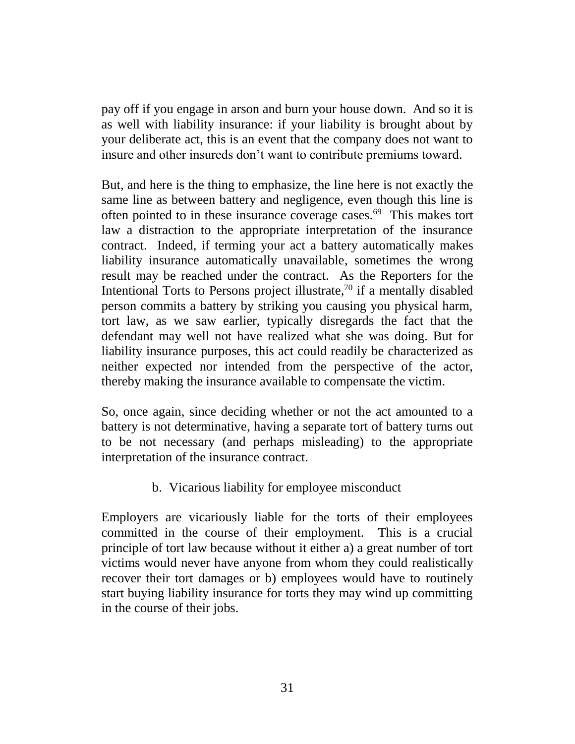pay off if you engage in arson and burn your house down. And so it is as well with liability insurance: if your liability is brought about by your deliberate act, this is an event that the company does not want to insure and other insureds don't want to contribute premiums toward.

But, and here is the thing to emphasize, the line here is not exactly the same line as between battery and negligence, even though this line is often pointed to in these insurance coverage cases.<sup>69</sup> This makes tort law a distraction to the appropriate interpretation of the insurance contract. Indeed, if terming your act a battery automatically makes liability insurance automatically unavailable, sometimes the wrong result may be reached under the contract. As the Reporters for the Intentional Torts to Persons project illustrate, $70$  if a mentally disabled person commits a battery by striking you causing you physical harm, tort law, as we saw earlier, typically disregards the fact that the defendant may well not have realized what she was doing. But for liability insurance purposes, this act could readily be characterized as neither expected nor intended from the perspective of the actor, thereby making the insurance available to compensate the victim.

So, once again, since deciding whether or not the act amounted to a battery is not determinative, having a separate tort of battery turns out to be not necessary (and perhaps misleading) to the appropriate interpretation of the insurance contract.

b. Vicarious liability for employee misconduct

Employers are vicariously liable for the torts of their employees committed in the course of their employment. This is a crucial principle of tort law because without it either a) a great number of tort victims would never have anyone from whom they could realistically recover their tort damages or b) employees would have to routinely start buying liability insurance for torts they may wind up committing in the course of their jobs.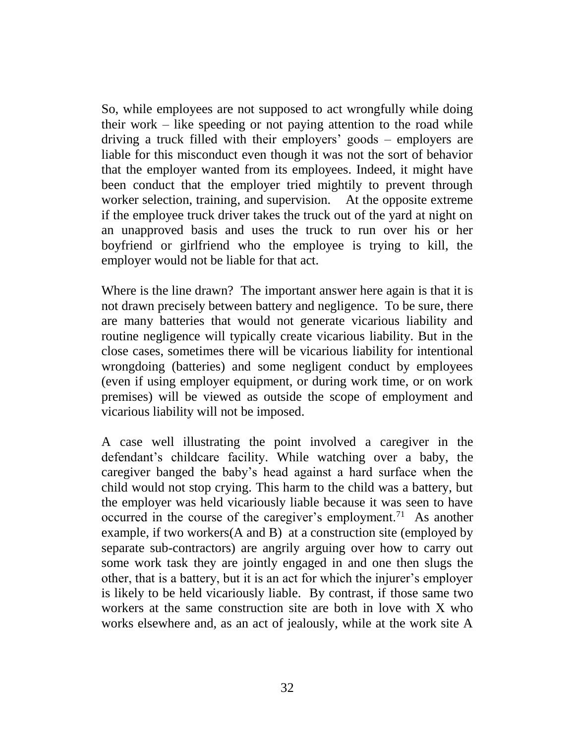So, while employees are not supposed to act wrongfully while doing their work – like speeding or not paying attention to the road while driving a truck filled with their employers' goods – employers are liable for this misconduct even though it was not the sort of behavior that the employer wanted from its employees. Indeed, it might have been conduct that the employer tried mightily to prevent through worker selection, training, and supervision. At the opposite extreme if the employee truck driver takes the truck out of the yard at night on an unapproved basis and uses the truck to run over his or her boyfriend or girlfriend who the employee is trying to kill, the employer would not be liable for that act.

Where is the line drawn? The important answer here again is that it is not drawn precisely between battery and negligence. To be sure, there are many batteries that would not generate vicarious liability and routine negligence will typically create vicarious liability. But in the close cases, sometimes there will be vicarious liability for intentional wrongdoing (batteries) and some negligent conduct by employees (even if using employer equipment, or during work time, or on work premises) will be viewed as outside the scope of employment and vicarious liability will not be imposed.

A case well illustrating the point involved a caregiver in the defendant's childcare facility. While watching over a baby, the caregiver banged the baby's head against a hard surface when the child would not stop crying. This harm to the child was a battery, but the employer was held vicariously liable because it was seen to have occurred in the course of the caregiver's employment.<sup>71</sup> As another example, if two workers(A and B) at a construction site (employed by separate sub-contractors) are angrily arguing over how to carry out some work task they are jointly engaged in and one then slugs the other, that is a battery, but it is an act for which the injurer's employer is likely to be held vicariously liable. By contrast, if those same two workers at the same construction site are both in love with X who works elsewhere and, as an act of jealously, while at the work site A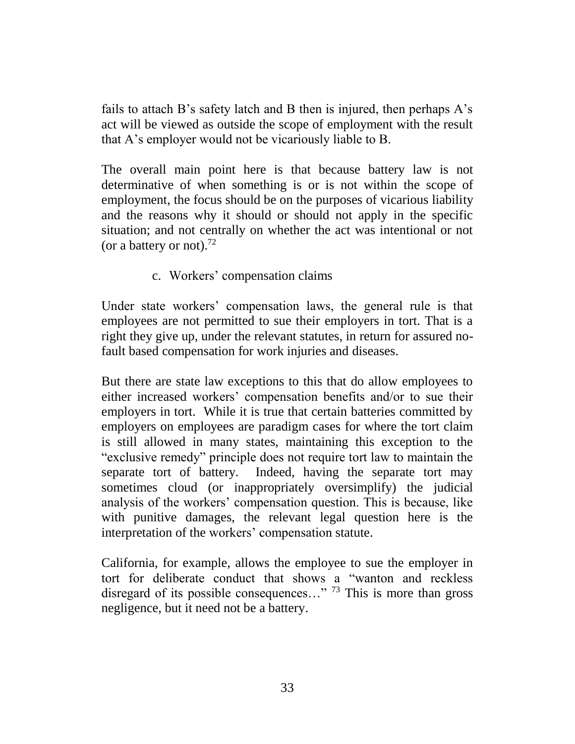fails to attach B's safety latch and B then is injured, then perhaps A's act will be viewed as outside the scope of employment with the result that A's employer would not be vicariously liable to B.

The overall main point here is that because battery law is not determinative of when something is or is not within the scope of employment, the focus should be on the purposes of vicarious liability and the reasons why it should or should not apply in the specific situation; and not centrally on whether the act was intentional or not (or a battery or not).<sup>72</sup>

# c. Workers' compensation claims

Under state workers' compensation laws, the general rule is that employees are not permitted to sue their employers in tort. That is a right they give up, under the relevant statutes, in return for assured nofault based compensation for work injuries and diseases.

But there are state law exceptions to this that do allow employees to either increased workers' compensation benefits and/or to sue their employers in tort. While it is true that certain batteries committed by employers on employees are paradigm cases for where the tort claim is still allowed in many states, maintaining this exception to the "exclusive remedy" principle does not require tort law to maintain the separate tort of battery. Indeed, having the separate tort may sometimes cloud (or inappropriately oversimplify) the judicial analysis of the workers' compensation question. This is because, like with punitive damages, the relevant legal question here is the interpretation of the workers' compensation statute.

California, for example, allows the employee to sue the employer in tort for deliberate conduct that shows a "wanton and reckless disregard of its possible consequences..."<sup>73</sup> This is more than gross negligence, but it need not be a battery.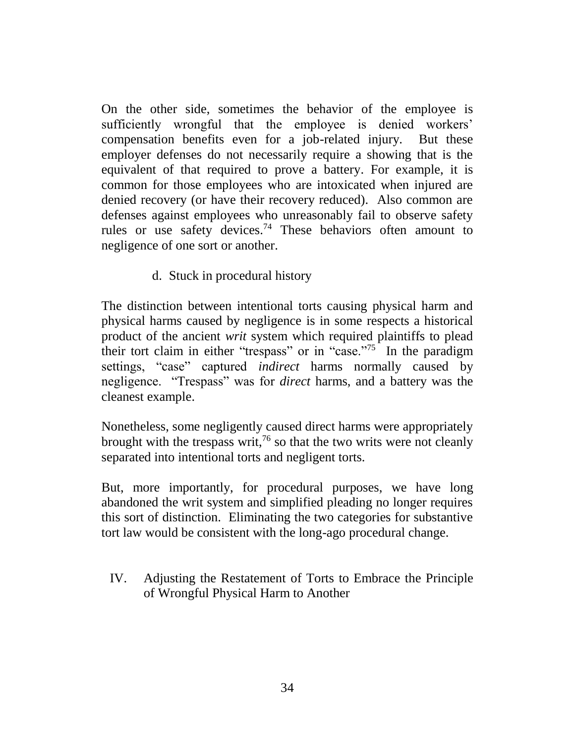On the other side, sometimes the behavior of the employee is sufficiently wrongful that the employee is denied workers' compensation benefits even for a job-related injury. But these employer defenses do not necessarily require a showing that is the equivalent of that required to prove a battery. For example, it is common for those employees who are intoxicated when injured are denied recovery (or have their recovery reduced). Also common are defenses against employees who unreasonably fail to observe safety rules or use safety devices.<sup>74</sup> These behaviors often amount to negligence of one sort or another.

d. Stuck in procedural history

The distinction between intentional torts causing physical harm and physical harms caused by negligence is in some respects a historical product of the ancient *writ* system which required plaintiffs to plead their tort claim in either "trespass" or in "case."<sup>75</sup> In the paradigm settings, "case" captured *indirect* harms normally caused by negligence. "Trespass" was for *direct* harms, and a battery was the cleanest example.

Nonetheless, some negligently caused direct harms were appropriately brought with the trespass writ,<sup>76</sup> so that the two writs were not cleanly separated into intentional torts and negligent torts.

But, more importantly, for procedural purposes, we have long abandoned the writ system and simplified pleading no longer requires this sort of distinction. Eliminating the two categories for substantive tort law would be consistent with the long-ago procedural change.

IV. Adjusting the Restatement of Torts to Embrace the Principle of Wrongful Physical Harm to Another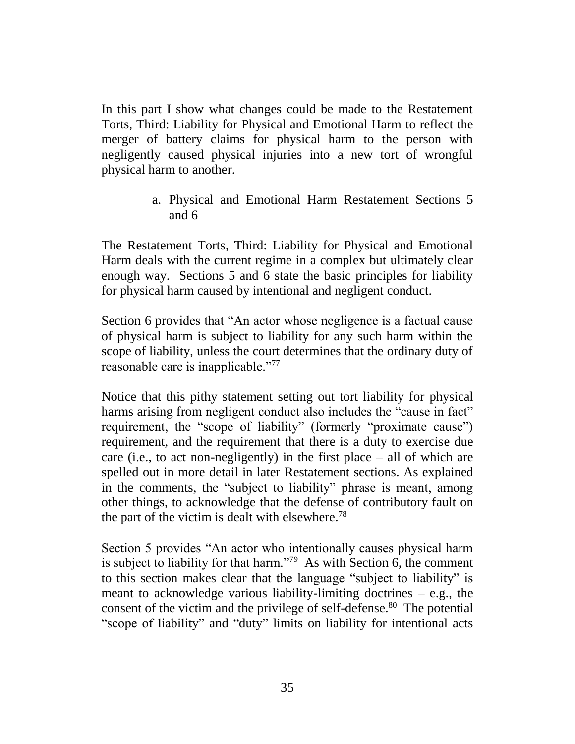In this part I show what changes could be made to the Restatement Torts, Third: Liability for Physical and Emotional Harm to reflect the merger of battery claims for physical harm to the person with negligently caused physical injuries into a new tort of wrongful physical harm to another.

> a. Physical and Emotional Harm Restatement Sections 5 and 6

The Restatement Torts, Third: Liability for Physical and Emotional Harm deals with the current regime in a complex but ultimately clear enough way. Sections 5 and 6 state the basic principles for liability for physical harm caused by intentional and negligent conduct.

Section 6 provides that "An actor whose negligence is a factual cause of physical harm is subject to liability for any such harm within the scope of liability, unless the court determines that the ordinary duty of reasonable care is inapplicable."<sup>77</sup>

Notice that this pithy statement setting out tort liability for physical harms arising from negligent conduct also includes the "cause in fact" requirement, the "scope of liability" (formerly "proximate cause") requirement, and the requirement that there is a duty to exercise due care (i.e., to act non-negligently) in the first place – all of which are spelled out in more detail in later Restatement sections. As explained in the comments, the "subject to liability" phrase is meant, among other things, to acknowledge that the defense of contributory fault on the part of the victim is dealt with elsewhere.<sup>78</sup>

Section 5 provides "An actor who intentionally causes physical harm is subject to liability for that harm."<sup>79</sup> As with Section 6, the comment to this section makes clear that the language "subject to liability" is meant to acknowledge various liability-limiting doctrines  $-$  e.g., the consent of the victim and the privilege of self-defense.<sup>80</sup> The potential "scope of liability" and "duty" limits on liability for intentional acts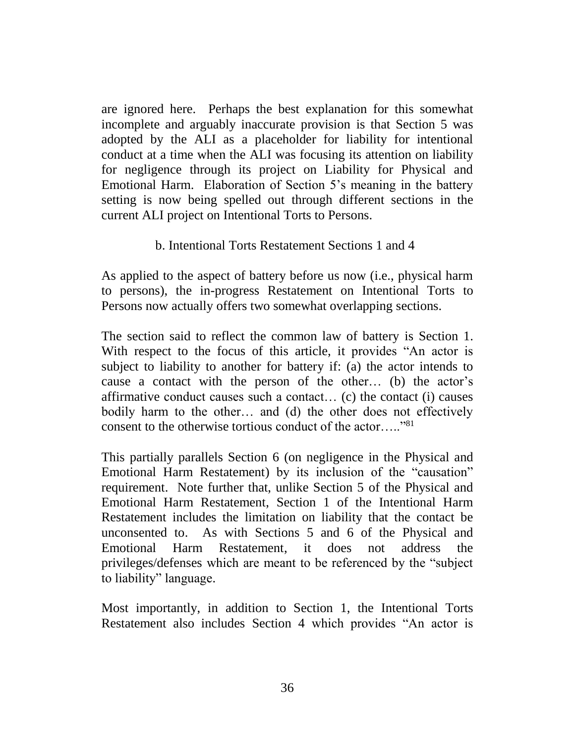are ignored here. Perhaps the best explanation for this somewhat incomplete and arguably inaccurate provision is that Section 5 was adopted by the ALI as a placeholder for liability for intentional conduct at a time when the ALI was focusing its attention on liability for negligence through its project on Liability for Physical and Emotional Harm. Elaboration of Section 5's meaning in the battery setting is now being spelled out through different sections in the current ALI project on Intentional Torts to Persons.

### b. Intentional Torts Restatement Sections 1 and 4

As applied to the aspect of battery before us now (i.e., physical harm to persons), the in-progress Restatement on Intentional Torts to Persons now actually offers two somewhat overlapping sections.

The section said to reflect the common law of battery is Section 1. With respect to the focus of this article, it provides "An actor is subject to liability to another for battery if: (a) the actor intends to cause a contact with the person of the other… (b) the actor's affirmative conduct causes such a contact… (c) the contact (i) causes bodily harm to the other… and (d) the other does not effectively consent to the otherwise tortious conduct of the actor....."<sup>81</sup>

This partially parallels Section 6 (on negligence in the Physical and Emotional Harm Restatement) by its inclusion of the "causation" requirement. Note further that, unlike Section 5 of the Physical and Emotional Harm Restatement, Section 1 of the Intentional Harm Restatement includes the limitation on liability that the contact be unconsented to. As with Sections 5 and 6 of the Physical and Emotional Harm Restatement, it does not address the privileges/defenses which are meant to be referenced by the "subject to liability" language.

Most importantly, in addition to Section 1, the Intentional Torts Restatement also includes Section 4 which provides "An actor is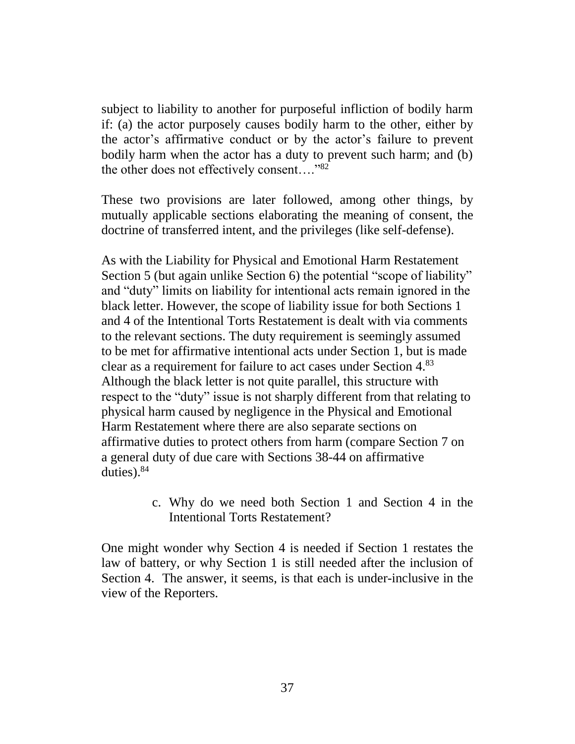subject to liability to another for purposeful infliction of bodily harm if: (a) the actor purposely causes bodily harm to the other, either by the actor's affirmative conduct or by the actor's failure to prevent bodily harm when the actor has a duty to prevent such harm; and (b) the other does not effectively consent...."82

These two provisions are later followed, among other things, by mutually applicable sections elaborating the meaning of consent, the doctrine of transferred intent, and the privileges (like self-defense).

As with the Liability for Physical and Emotional Harm Restatement Section 5 (but again unlike Section 6) the potential "scope of liability" and "duty" limits on liability for intentional acts remain ignored in the black letter. However, the scope of liability issue for both Sections 1 and 4 of the Intentional Torts Restatement is dealt with via comments to the relevant sections. The duty requirement is seemingly assumed to be met for affirmative intentional acts under Section 1, but is made clear as a requirement for failure to act cases under Section 4. 83 Although the black letter is not quite parallel, this structure with respect to the "duty" issue is not sharply different from that relating to physical harm caused by negligence in the Physical and Emotional Harm Restatement where there are also separate sections on affirmative duties to protect others from harm (compare Section 7 on a general duty of due care with Sections 38-44 on affirmative duties). 84

> c. Why do we need both Section 1 and Section 4 in the Intentional Torts Restatement?

One might wonder why Section 4 is needed if Section 1 restates the law of battery, or why Section 1 is still needed after the inclusion of Section 4. The answer, it seems, is that each is under-inclusive in the view of the Reporters.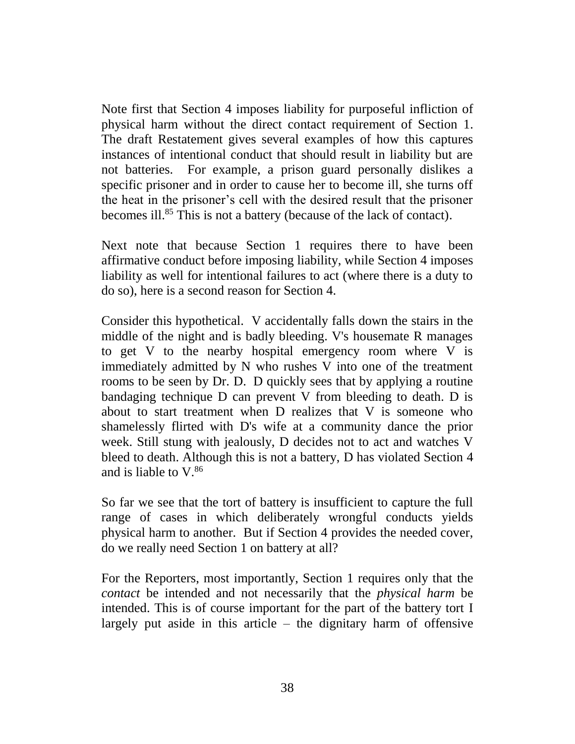Note first that Section 4 imposes liability for purposeful infliction of physical harm without the direct contact requirement of Section 1. The draft Restatement gives several examples of how this captures instances of intentional conduct that should result in liability but are not batteries. For example, a prison guard personally dislikes a specific prisoner and in order to cause her to become ill, she turns off the heat in the prisoner's cell with the desired result that the prisoner becomes ill.<sup>85</sup> This is not a battery (because of the lack of contact).

Next note that because Section 1 requires there to have been affirmative conduct before imposing liability, while Section 4 imposes liability as well for intentional failures to act (where there is a duty to do so), here is a second reason for Section 4.

Consider this hypothetical. V accidentally falls down the stairs in the middle of the night and is badly bleeding. V's housemate R manages to get V to the nearby hospital emergency room where V is immediately admitted by N who rushes V into one of the treatment rooms to be seen by Dr. D. D quickly sees that by applying a routine bandaging technique D can prevent V from bleeding to death. D is about to start treatment when D realizes that V is someone who shamelessly flirted with D's wife at a community dance the prior week. Still stung with jealously, D decides not to act and watches V bleed to death. Although this is not a battery, D has violated Section 4 and is liable to  $V^{86}$ 

So far we see that the tort of battery is insufficient to capture the full range of cases in which deliberately wrongful conducts yields physical harm to another. But if Section 4 provides the needed cover, do we really need Section 1 on battery at all?

For the Reporters, most importantly, Section 1 requires only that the *contact* be intended and not necessarily that the *physical harm* be intended. This is of course important for the part of the battery tort I largely put aside in this article – the dignitary harm of offensive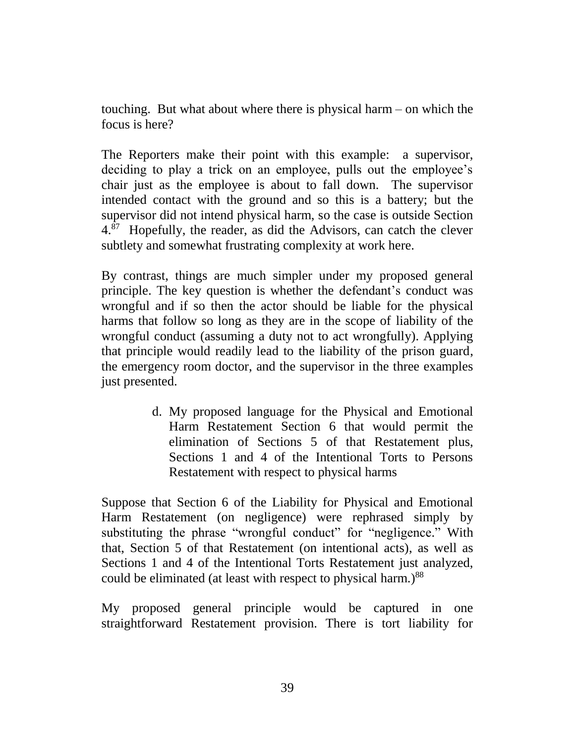touching. But what about where there is physical harm – on which the focus is here?

The Reporters make their point with this example: a supervisor, deciding to play a trick on an employee, pulls out the employee's chair just as the employee is about to fall down. The supervisor intended contact with the ground and so this is a battery; but the supervisor did not intend physical harm, so the case is outside Section 4.<sup>87</sup> Hopefully, the reader, as did the Advisors, can catch the clever subtlety and somewhat frustrating complexity at work here.

By contrast, things are much simpler under my proposed general principle. The key question is whether the defendant's conduct was wrongful and if so then the actor should be liable for the physical harms that follow so long as they are in the scope of liability of the wrongful conduct (assuming a duty not to act wrongfully). Applying that principle would readily lead to the liability of the prison guard, the emergency room doctor, and the supervisor in the three examples just presented.

> d. My proposed language for the Physical and Emotional Harm Restatement Section 6 that would permit the elimination of Sections 5 of that Restatement plus, Sections 1 and 4 of the Intentional Torts to Persons Restatement with respect to physical harms

Suppose that Section 6 of the Liability for Physical and Emotional Harm Restatement (on negligence) were rephrased simply by substituting the phrase "wrongful conduct" for "negligence." With that, Section 5 of that Restatement (on intentional acts), as well as Sections 1 and 4 of the Intentional Torts Restatement just analyzed, could be eliminated (at least with respect to physical harm.)<sup>88</sup>

My proposed general principle would be captured in one straightforward Restatement provision. There is tort liability for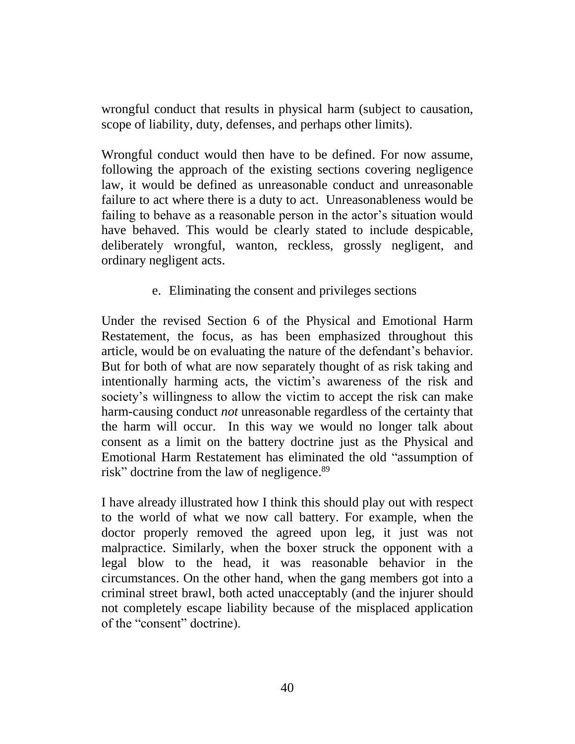wrongful conduct that results in physical harm (subject to causation, scope of liability, duty, defenses, and perhaps other limits).

Wrongful conduct would then have to be defined. For now assume, following the approach of the existing sections covering negligence law, it would be defined as unreasonable conduct and unreasonable failure to act where there is a duty to act. Unreasonableness would be failing to behave as a reasonable person in the actor's situation would have behaved. This would be clearly stated to include despicable, deliberately wrongful, wanton, reckless, grossly negligent, and ordinary negligent acts.

e. Eliminating the consent and privileges sections

Under the revised Section 6 of the Physical and Emotional Harm Restatement, the focus, as has been emphasized throughout this article, would be on evaluating the nature of the defendant's behavior. But for both of what are now separately thought of as risk taking and intentionally harming acts, the victim's awareness of the risk and society's willingness to allow the victim to accept the risk can make harm-causing conduct *not* unreasonable regardless of the certainty that the harm will occur. In this way we would no longer talk about consent as a limit on the battery doctrine just as the Physical and Emotional Harm Restatement has eliminated the old "assumption of risk" doctrine from the law of negligence.<sup>89</sup>

I have already illustrated how I think this should play out with respect to the world of what we now call battery. For example, when the doctor properly removed the agreed upon leg, it just was not malpractice. Similarly, when the boxer struck the opponent with a legal blow to the head, it was reasonable behavior in the circumstances. On the other hand, when the gang members got into a criminal street brawl, both acted unacceptably (and the injurer should not completely escape liability because of the misplaced application of the "consent" doctrine).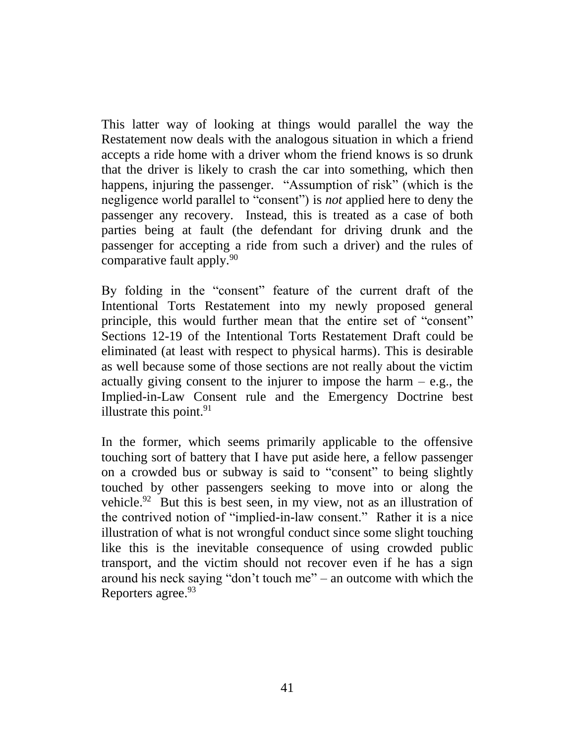This latter way of looking at things would parallel the way the Restatement now deals with the analogous situation in which a friend accepts a ride home with a driver whom the friend knows is so drunk that the driver is likely to crash the car into something, which then happens, injuring the passenger. "Assumption of risk" (which is the negligence world parallel to "consent") is *not* applied here to deny the passenger any recovery. Instead, this is treated as a case of both parties being at fault (the defendant for driving drunk and the passenger for accepting a ride from such a driver) and the rules of comparative fault apply. 90

By folding in the "consent" feature of the current draft of the Intentional Torts Restatement into my newly proposed general principle, this would further mean that the entire set of "consent" Sections 12-19 of the Intentional Torts Restatement Draft could be eliminated (at least with respect to physical harms). This is desirable as well because some of those sections are not really about the victim actually giving consent to the injurer to impose the harm  $-$  e.g., the Implied-in-Law Consent rule and the Emergency Doctrine best illustrate this point.  $91$ 

In the former, which seems primarily applicable to the offensive touching sort of battery that I have put aside here, a fellow passenger on a crowded bus or subway is said to "consent" to being slightly touched by other passengers seeking to move into or along the vehicle.<sup>92</sup> But this is best seen, in my view, not as an illustration of the contrived notion of "implied-in-law consent." Rather it is a nice illustration of what is not wrongful conduct since some slight touching like this is the inevitable consequence of using crowded public transport, and the victim should not recover even if he has a sign around his neck saying "don't touch me" – an outcome with which the Reporters agree.<sup>93</sup>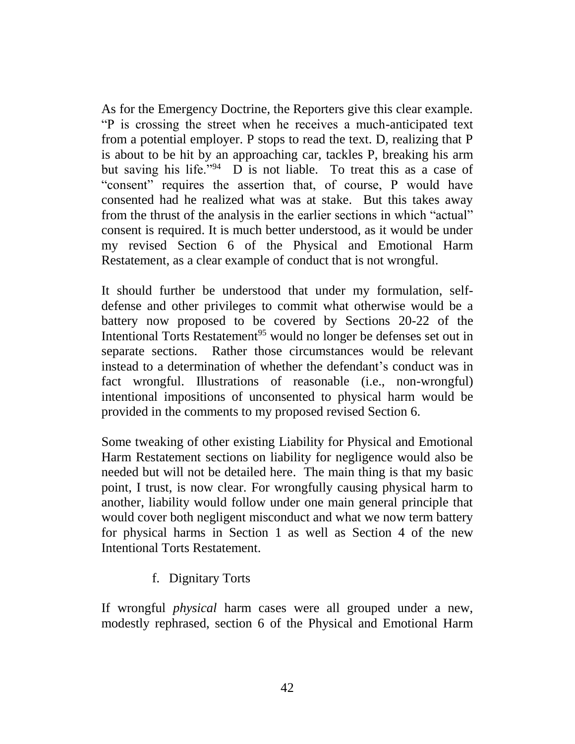As for the Emergency Doctrine, the Reporters give this clear example. "P is crossing the street when he receives a much-anticipated text from a potential employer. P stops to read the text. D, realizing that P is about to be hit by an approaching car, tackles P, breaking his arm but saving his life."<sup>94</sup> D is not liable. To treat this as a case of "consent" requires the assertion that, of course, P would have consented had he realized what was at stake. But this takes away from the thrust of the analysis in the earlier sections in which "actual" consent is required. It is much better understood, as it would be under my revised Section 6 of the Physical and Emotional Harm Restatement, as a clear example of conduct that is not wrongful.

It should further be understood that under my formulation, selfdefense and other privileges to commit what otherwise would be a battery now proposed to be covered by Sections 20-22 of the Intentional Torts Restatement<sup>95</sup> would no longer be defenses set out in separate sections. Rather those circumstances would be relevant instead to a determination of whether the defendant's conduct was in fact wrongful. Illustrations of reasonable (i.e., non-wrongful) intentional impositions of unconsented to physical harm would be provided in the comments to my proposed revised Section 6.

Some tweaking of other existing Liability for Physical and Emotional Harm Restatement sections on liability for negligence would also be needed but will not be detailed here. The main thing is that my basic point, I trust, is now clear. For wrongfully causing physical harm to another, liability would follow under one main general principle that would cover both negligent misconduct and what we now term battery for physical harms in Section 1 as well as Section 4 of the new Intentional Torts Restatement.

f. Dignitary Torts

If wrongful *physical* harm cases were all grouped under a new, modestly rephrased, section 6 of the Physical and Emotional Harm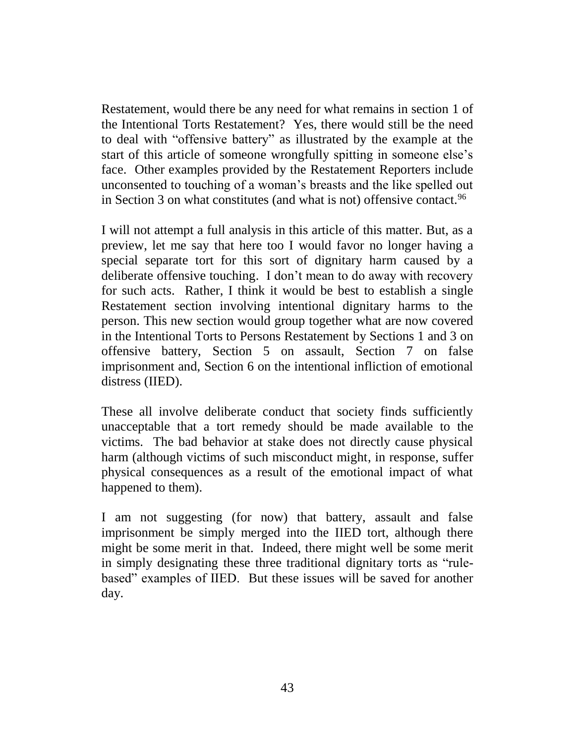Restatement, would there be any need for what remains in section 1 of the Intentional Torts Restatement? Yes, there would still be the need to deal with "offensive battery" as illustrated by the example at the start of this article of someone wrongfully spitting in someone else's face. Other examples provided by the Restatement Reporters include unconsented to touching of a woman's breasts and the like spelled out in Section 3 on what constitutes (and what is not) offensive contact.<sup>96</sup>

I will not attempt a full analysis in this article of this matter. But, as a preview, let me say that here too I would favor no longer having a special separate tort for this sort of dignitary harm caused by a deliberate offensive touching. I don't mean to do away with recovery for such acts. Rather, I think it would be best to establish a single Restatement section involving intentional dignitary harms to the person. This new section would group together what are now covered in the Intentional Torts to Persons Restatement by Sections 1 and 3 on offensive battery, Section 5 on assault, Section 7 on false imprisonment and, Section 6 on the intentional infliction of emotional distress (IIED).

These all involve deliberate conduct that society finds sufficiently unacceptable that a tort remedy should be made available to the victims. The bad behavior at stake does not directly cause physical harm (although victims of such misconduct might, in response, suffer physical consequences as a result of the emotional impact of what happened to them).

I am not suggesting (for now) that battery, assault and false imprisonment be simply merged into the IIED tort, although there might be some merit in that. Indeed, there might well be some merit in simply designating these three traditional dignitary torts as "rulebased" examples of IIED. But these issues will be saved for another day.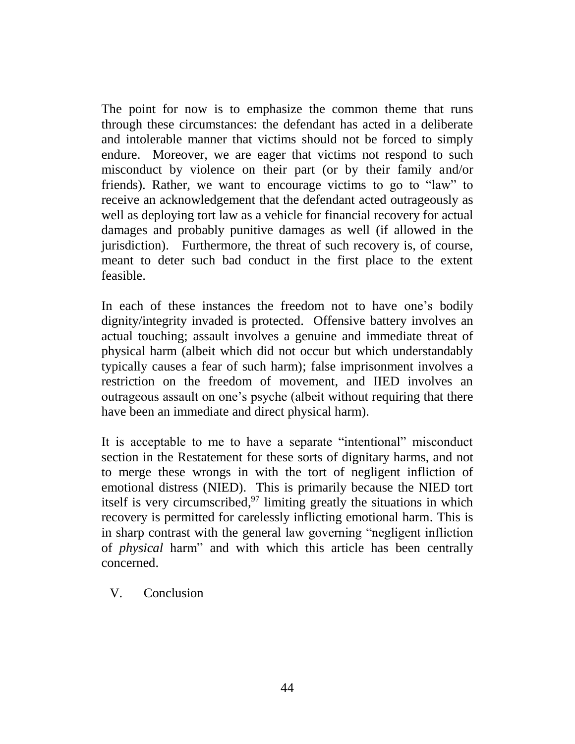The point for now is to emphasize the common theme that runs through these circumstances: the defendant has acted in a deliberate and intolerable manner that victims should not be forced to simply endure. Moreover, we are eager that victims not respond to such misconduct by violence on their part (or by their family and/or friends). Rather, we want to encourage victims to go to "law" to receive an acknowledgement that the defendant acted outrageously as well as deploying tort law as a vehicle for financial recovery for actual damages and probably punitive damages as well (if allowed in the jurisdiction). Furthermore, the threat of such recovery is, of course, meant to deter such bad conduct in the first place to the extent feasible.

In each of these instances the freedom not to have one's bodily dignity/integrity invaded is protected. Offensive battery involves an actual touching; assault involves a genuine and immediate threat of physical harm (albeit which did not occur but which understandably typically causes a fear of such harm); false imprisonment involves a restriction on the freedom of movement, and IIED involves an outrageous assault on one's psyche (albeit without requiring that there have been an immediate and direct physical harm).

It is acceptable to me to have a separate "intentional" misconduct section in the Restatement for these sorts of dignitary harms, and not to merge these wrongs in with the tort of negligent infliction of emotional distress (NIED). This is primarily because the NIED tort itself is very circumscribed,<sup>97</sup> limiting greatly the situations in which recovery is permitted for carelessly inflicting emotional harm. This is in sharp contrast with the general law governing "negligent infliction of *physical* harm" and with which this article has been centrally concerned.

V. Conclusion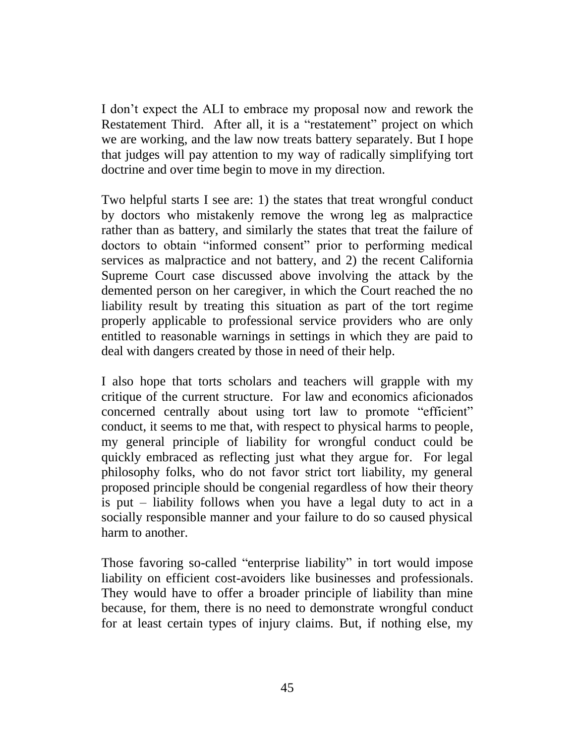I don't expect the ALI to embrace my proposal now and rework the Restatement Third. After all, it is a "restatement" project on which we are working, and the law now treats battery separately. But I hope that judges will pay attention to my way of radically simplifying tort doctrine and over time begin to move in my direction.

Two helpful starts I see are: 1) the states that treat wrongful conduct by doctors who mistakenly remove the wrong leg as malpractice rather than as battery, and similarly the states that treat the failure of doctors to obtain "informed consent" prior to performing medical services as malpractice and not battery, and 2) the recent California Supreme Court case discussed above involving the attack by the demented person on her caregiver, in which the Court reached the no liability result by treating this situation as part of the tort regime properly applicable to professional service providers who are only entitled to reasonable warnings in settings in which they are paid to deal with dangers created by those in need of their help.

I also hope that torts scholars and teachers will grapple with my critique of the current structure. For law and economics aficionados concerned centrally about using tort law to promote "efficient" conduct, it seems to me that, with respect to physical harms to people, my general principle of liability for wrongful conduct could be quickly embraced as reflecting just what they argue for. For legal philosophy folks, who do not favor strict tort liability, my general proposed principle should be congenial regardless of how their theory is put – liability follows when you have a legal duty to act in a socially responsible manner and your failure to do so caused physical harm to another.

Those favoring so-called "enterprise liability" in tort would impose liability on efficient cost-avoiders like businesses and professionals. They would have to offer a broader principle of liability than mine because, for them, there is no need to demonstrate wrongful conduct for at least certain types of injury claims. But, if nothing else, my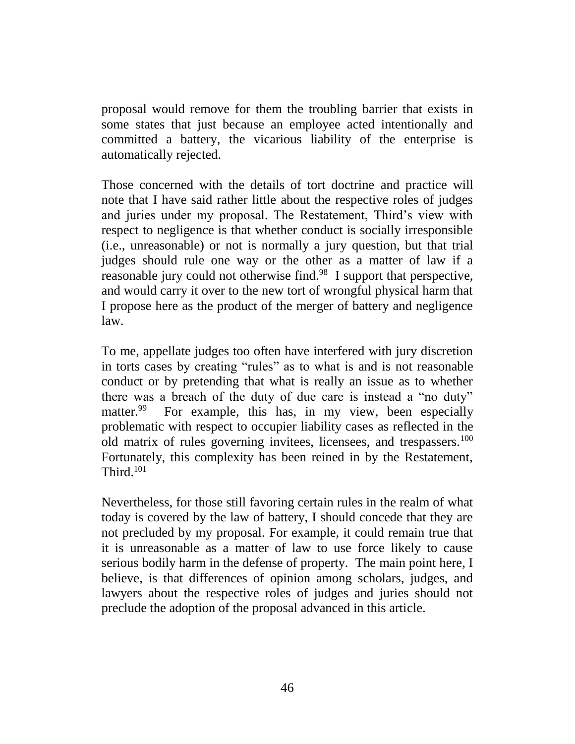proposal would remove for them the troubling barrier that exists in some states that just because an employee acted intentionally and committed a battery, the vicarious liability of the enterprise is automatically rejected.

Those concerned with the details of tort doctrine and practice will note that I have said rather little about the respective roles of judges and juries under my proposal. The Restatement, Third's view with respect to negligence is that whether conduct is socially irresponsible (i.e., unreasonable) or not is normally a jury question, but that trial judges should rule one way or the other as a matter of law if a reasonable jury could not otherwise find.<sup>98</sup> I support that perspective, and would carry it over to the new tort of wrongful physical harm that I propose here as the product of the merger of battery and negligence law.

To me, appellate judges too often have interfered with jury discretion in torts cases by creating "rules" as to what is and is not reasonable conduct or by pretending that what is really an issue as to whether there was a breach of the duty of due care is instead a "no duty" matter.<sup>99</sup> For example, this has, in my view, been especially problematic with respect to occupier liability cases as reflected in the old matrix of rules governing invitees, licensees, and trespassers.<sup>100</sup> Fortunately, this complexity has been reined in by the Restatement, Third. $101$ 

Nevertheless, for those still favoring certain rules in the realm of what today is covered by the law of battery, I should concede that they are not precluded by my proposal. For example, it could remain true that it is unreasonable as a matter of law to use force likely to cause serious bodily harm in the defense of property. The main point here, I believe, is that differences of opinion among scholars, judges, and lawyers about the respective roles of judges and juries should not preclude the adoption of the proposal advanced in this article.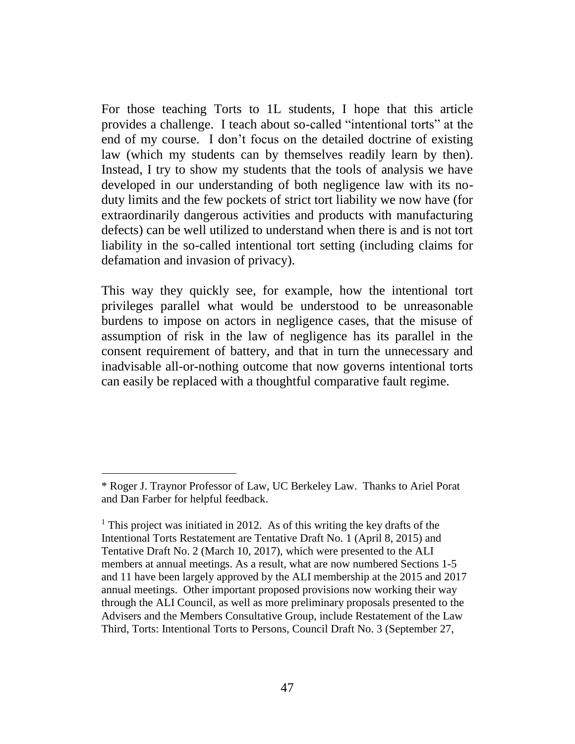For those teaching Torts to 1L students, I hope that this article provides a challenge. I teach about so-called "intentional torts" at the end of my course. I don't focus on the detailed doctrine of existing law (which my students can by themselves readily learn by then). Instead, I try to show my students that the tools of analysis we have developed in our understanding of both negligence law with its noduty limits and the few pockets of strict tort liability we now have (for extraordinarily dangerous activities and products with manufacturing defects) can be well utilized to understand when there is and is not tort liability in the so-called intentional tort setting (including claims for defamation and invasion of privacy).

This way they quickly see, for example, how the intentional tort privileges parallel what would be understood to be unreasonable burdens to impose on actors in negligence cases, that the misuse of assumption of risk in the law of negligence has its parallel in the consent requirement of battery, and that in turn the unnecessary and inadvisable all-or-nothing outcome that now governs intentional torts can easily be replaced with a thoughtful comparative fault regime.

 $\overline{a}$ 

<sup>\*</sup> Roger J. Traynor Professor of Law, UC Berkeley Law. Thanks to Ariel Porat and Dan Farber for helpful feedback.

<sup>&</sup>lt;sup>1</sup> This project was initiated in 2012. As of this writing the key drafts of the Intentional Torts Restatement are Tentative Draft No. 1 (April 8, 2015) and Tentative Draft No. 2 (March 10, 2017), which were presented to the ALI members at annual meetings. As a result, what are now numbered Sections 1-5 and 11 have been largely approved by the ALI membership at the 2015 and 2017 annual meetings. Other important proposed provisions now working their way through the ALI Council, as well as more preliminary proposals presented to the Advisers and the Members Consultative Group, include Restatement of the Law Third, Torts: Intentional Torts to Persons, Council Draft No. 3 (September 27,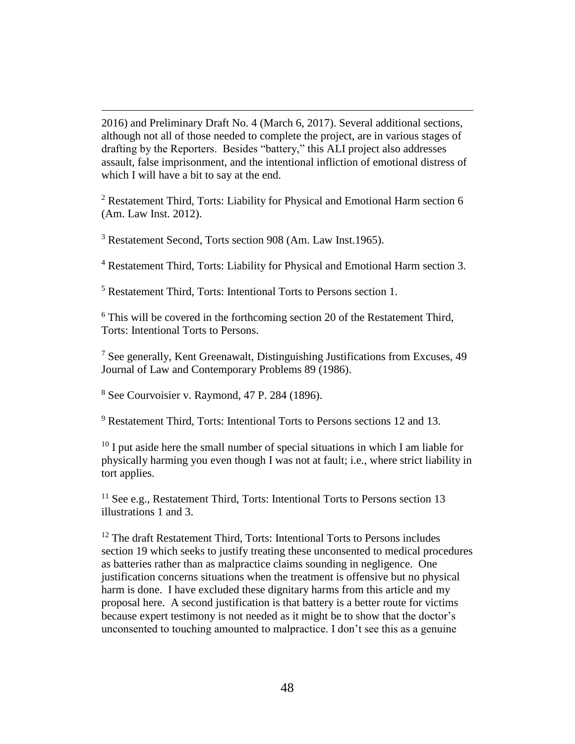2016) and Preliminary Draft No. 4 (March 6, 2017). Several additional sections, although not all of those needed to complete the project, are in various stages of drafting by the Reporters. Besides "battery," this ALI project also addresses assault, false imprisonment, and the intentional infliction of emotional distress of which I will have a bit to say at the end.

<sup>2</sup> Restatement Third, Torts: Liability for Physical and Emotional Harm section 6 (Am. Law Inst. 2012).

<sup>3</sup> Restatement Second, Torts section 908 (Am. Law Inst.1965).

<sup>4</sup> Restatement Third, Torts: Liability for Physical and Emotional Harm section 3.

<sup>5</sup> Restatement Third, Torts: Intentional Torts to Persons section 1.

 $6$  This will be covered in the forthcoming section 20 of the Restatement Third, Torts: Intentional Torts to Persons.

 $<sup>7</sup>$  See generally, Kent Greenawalt, Distinguishing Justifications from Excuses, 49</sup> Journal of Law and Contemporary Problems 89 (1986).

<sup>8</sup> See Courvoisier v. Raymond, 47 P. 284 (1896).

l

<sup>9</sup> Restatement Third, Torts: Intentional Torts to Persons sections 12 and 13.

<sup>10</sup> I put aside here the small number of special situations in which I am liable for physically harming you even though I was not at fault; i.e., where strict liability in tort applies.

<sup>11</sup> See e.g., Restatement Third, Torts: Intentional Torts to Persons section 13 illustrations 1 and 3.

<sup>12</sup> The draft Restatement Third, Torts: Intentional Torts to Persons includes section 19 which seeks to justify treating these unconsented to medical procedures as batteries rather than as malpractice claims sounding in negligence. One justification concerns situations when the treatment is offensive but no physical harm is done. I have excluded these dignitary harms from this article and my proposal here. A second justification is that battery is a better route for victims because expert testimony is not needed as it might be to show that the doctor's unconsented to touching amounted to malpractice. I don't see this as a genuine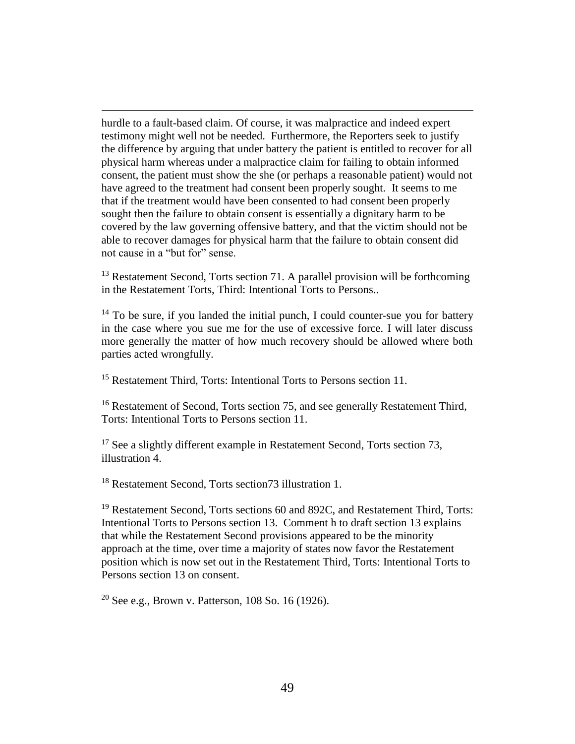hurdle to a fault-based claim. Of course, it was malpractice and indeed expert testimony might well not be needed. Furthermore, the Reporters seek to justify the difference by arguing that under battery the patient is entitled to recover for all physical harm whereas under a malpractice claim for failing to obtain informed consent, the patient must show the she (or perhaps a reasonable patient) would not have agreed to the treatment had consent been properly sought. It seems to me that if the treatment would have been consented to had consent been properly sought then the failure to obtain consent is essentially a dignitary harm to be covered by the law governing offensive battery, and that the victim should not be able to recover damages for physical harm that the failure to obtain consent did not cause in a "but for" sense.

 $13$  Restatement Second, Torts section 71. A parallel provision will be forthcoming in the Restatement Torts, Third: Intentional Torts to Persons..

 $14$  To be sure, if you landed the initial punch, I could counter-sue you for battery in the case where you sue me for the use of excessive force. I will later discuss more generally the matter of how much recovery should be allowed where both parties acted wrongfully.

<sup>15</sup> Restatement Third, Torts: Intentional Torts to Persons section 11.

<sup>16</sup> Restatement of Second, Torts section 75, and see generally Restatement Third, Torts: Intentional Torts to Persons section 11.

 $17$  See a slightly different example in Restatement Second, Torts section 73, illustration 4.

<sup>18</sup> Restatement Second, Torts section73 illustration 1.

l

<sup>19</sup> Restatement Second, Torts sections 60 and 892C, and Restatement Third, Torts: Intentional Torts to Persons section 13. Comment h to draft section 13 explains that while the Restatement Second provisions appeared to be the minority approach at the time, over time a majority of states now favor the Restatement position which is now set out in the Restatement Third, Torts: Intentional Torts to Persons section 13 on consent.

<sup>20</sup> See e.g., Brown v. Patterson,  $108$  So. 16 (1926).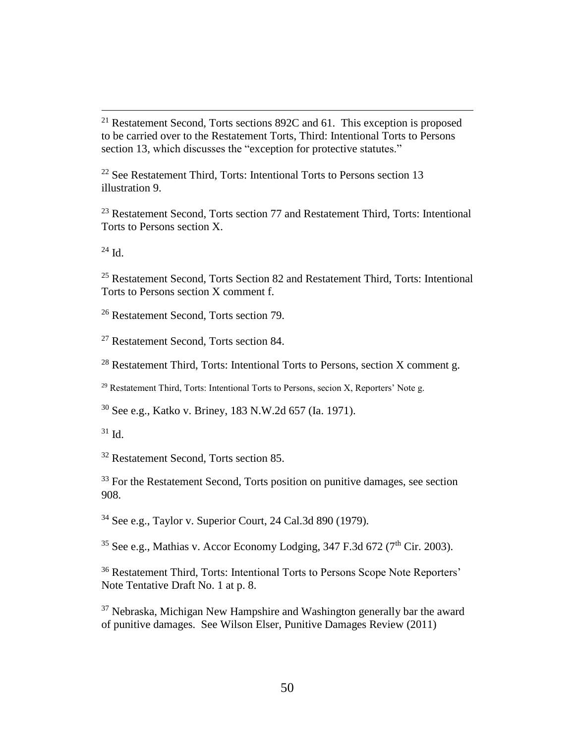<sup>21</sup> Restatement Second, Torts sections 892C and 61. This exception is proposed to be carried over to the Restatement Torts, Third: Intentional Torts to Persons section 13, which discusses the "exception for protective statutes."

<sup>22</sup> See Restatement Third, Torts: Intentional Torts to Persons section 13 illustration 9.

 $23$  Restatement Second, Torts section 77 and Restatement Third, Torts: Intentional Torts to Persons section X.

 $^{24}$  Id.

l

<sup>25</sup> Restatement Second, Torts Section 82 and Restatement Third, Torts: Intentional Torts to Persons section X comment f.

<sup>26</sup> Restatement Second, Torts section 79.

<sup>27</sup> Restatement Second, Torts section 84.

 $28$  Restatement Third, Torts: Intentional Torts to Persons, section X comment g.

 $29$  Restatement Third, Torts: Intentional Torts to Persons, secion X, Reporters' Note g.

<sup>30</sup> See e.g., Katko v. Briney, 183 N.W.2d 657 (Ia. 1971).

 $31$  Id.

<sup>32</sup> Restatement Second, Torts section 85.

<sup>33</sup> For the Restatement Second, Torts position on punitive damages, see section 908.

<sup>34</sup> See e.g., Taylor v. Superior Court, 24 Cal.3d 890 (1979).

<sup>35</sup> See e.g., Mathias v. Accor Economy Lodging,  $347$  F.3d  $672$  ( $7<sup>th</sup>$  Cir. 2003).

<sup>36</sup> Restatement Third, Torts: Intentional Torts to Persons Scope Note Reporters' Note Tentative Draft No. 1 at p. 8.

<sup>37</sup> Nebraska, Michigan New Hampshire and Washington generally bar the award of punitive damages. See Wilson Elser, Punitive Damages Review (2011)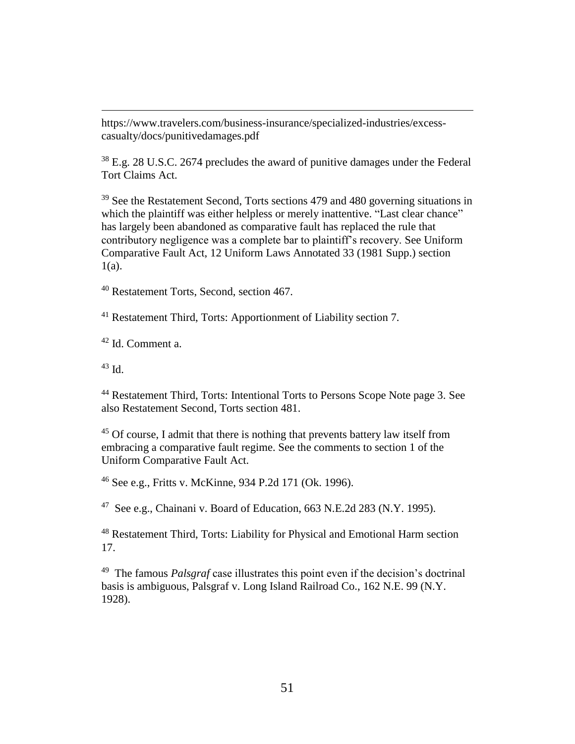https://www.travelers.com/business-insurance/specialized-industries/excesscasualty/docs/punitivedamages.pdf

<sup>38</sup> E.g. 28 U.S.C. 2674 precludes the award of punitive damages under the Federal Tort Claims Act.

<sup>39</sup> See the Restatement Second, Torts sections 479 and 480 governing situations in which the plaintiff was either helpless or merely inattentive. "Last clear chance" has largely been abandoned as comparative fault has replaced the rule that contributory negligence was a complete bar to plaintiff's recovery. See Uniform Comparative Fault Act, 12 Uniform Laws Annotated 33 (1981 Supp.) section 1(a).

<sup>40</sup> Restatement Torts, Second, section 467.

<sup>41</sup> Restatement Third, Torts: Apportionment of Liability section 7.

<sup>42</sup> Id. Comment a.

 $43$  Id.

l

<sup>44</sup> Restatement Third, Torts: Intentional Torts to Persons Scope Note page 3. See also Restatement Second, Torts section 481.

<sup>45</sup> Of course, I admit that there is nothing that prevents battery law itself from embracing a comparative fault regime. See the comments to section 1 of the Uniform Comparative Fault Act.

<sup>46</sup> See e.g., Fritts v. McKinne, 934 P.2d 171 (Ok. 1996).

<sup>47</sup> See e.g., Chainani v. Board of Education, 663 N.E.2d 283 (N.Y. 1995).

<sup>48</sup> Restatement Third, Torts: Liability for Physical and Emotional Harm section 17.

49 The famous *Palsgraf* case illustrates this point even if the decision's doctrinal basis is ambiguous, Palsgraf v. Long Island Railroad Co., 162 N.E. 99 (N.Y. 1928).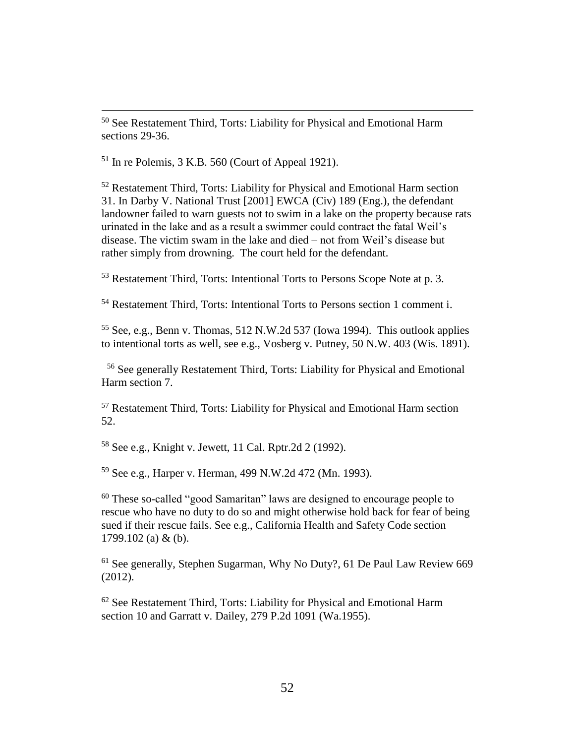<sup>50</sup> See Restatement Third, Torts: Liability for Physical and Emotional Harm sections 29-36.

 $51$  In re Polemis, 3 K.B. 560 (Court of Appeal 1921).

l

<sup>52</sup> Restatement Third, Torts: Liability for Physical and Emotional Harm section 31. In Darby V. National Trust [2001] EWCA (Civ) 189 (Eng.), the defendant landowner failed to warn guests not to swim in a lake on the property because rats urinated in the lake and as a result a swimmer could contract the fatal Weil's disease. The victim swam in the lake and died – not from Weil's disease but rather simply from drowning. The court held for the defendant.

<sup>53</sup> Restatement Third, Torts: Intentional Torts to Persons Scope Note at p. 3.

<sup>54</sup> Restatement Third, Torts: Intentional Torts to Persons section 1 comment i.

<sup>55</sup> See, e.g., Benn v. Thomas, 512 N.W.2d 537 (Iowa 1994). This outlook applies to intentional torts as well, see e.g., Vosberg v. Putney, 50 N.W. 403 (Wis. 1891).

<sup>56</sup> See generally Restatement Third, Torts: Liability for Physical and Emotional Harm section 7.

<sup>57</sup> Restatement Third, Torts: Liability for Physical and Emotional Harm section 52.

<sup>58</sup> See e.g., Knight v. Jewett, 11 Cal. Rptr.2d 2 (1992).

<sup>59</sup> See e.g., Harper v. Herman, 499 N.W.2d 472 (Mn. 1993).

<sup>60</sup> These so-called "good Samaritan" laws are designed to encourage people to rescue who have no duty to do so and might otherwise hold back for fear of being sued if their rescue fails. See e.g., California Health and Safety Code section 1799.102 (a) & (b).

<sup>61</sup> See generally, Stephen Sugarman, Why No Duty?, 61 De Paul Law Review 669 (2012).

<sup>62</sup> See Restatement Third, Torts: Liability for Physical and Emotional Harm section 10 and Garratt v. Dailey, 279 P.2d 1091 (Wa.1955).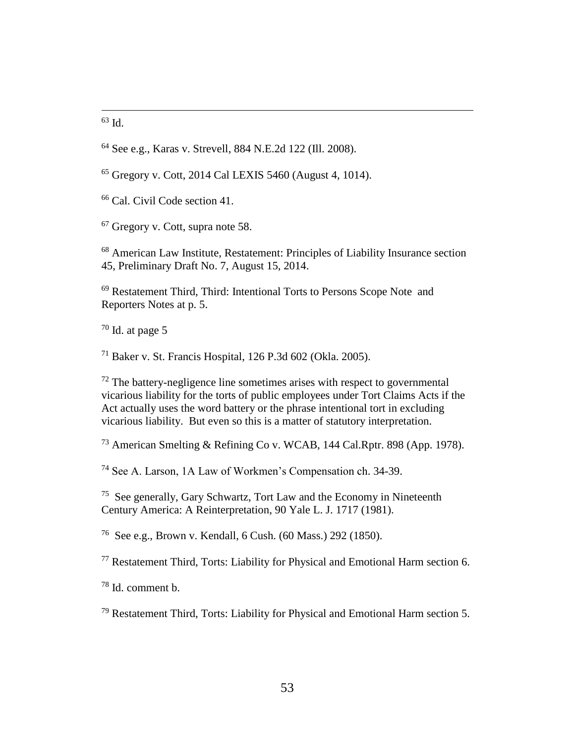Id.

l

- See e.g., Karas v. Strevell, 884 N.E.2d 122 (Ill. 2008).
- Gregory v. Cott, 2014 Cal LEXIS 5460 (August 4, 1014).

Cal. Civil Code section 41.

Gregory v. Cott, supra note 58.

 American Law Institute, Restatement: Principles of Liability Insurance section 45, Preliminary Draft No. 7, August 15, 2014.

 Restatement Third, Third: Intentional Torts to Persons Scope Note and Reporters Notes at p. 5.

Id. at page 5

Baker v. St. Francis Hospital, 126 P.3d 602 (Okla. 2005).

 The battery-negligence line sometimes arises with respect to governmental vicarious liability for the torts of public employees under Tort Claims Acts if the Act actually uses the word battery or the phrase intentional tort in excluding vicarious liability. But even so this is a matter of statutory interpretation.

American Smelting & Refining Co v. WCAB, 144 Cal.Rptr. 898 (App. 1978).

See A. Larson, 1A Law of Workmen's Compensation ch. 34-39.

<sup>75</sup> See generally, Gary Schwartz, Tort Law and the Economy in Nineteenth Century America: A Reinterpretation, 90 Yale L. J. 1717 (1981).

See e.g., Brown v. Kendall, 6 Cush. (60 Mass.) 292 (1850).

Restatement Third, Torts: Liability for Physical and Emotional Harm section 6.

Id. comment b.

Restatement Third, Torts: Liability for Physical and Emotional Harm section 5.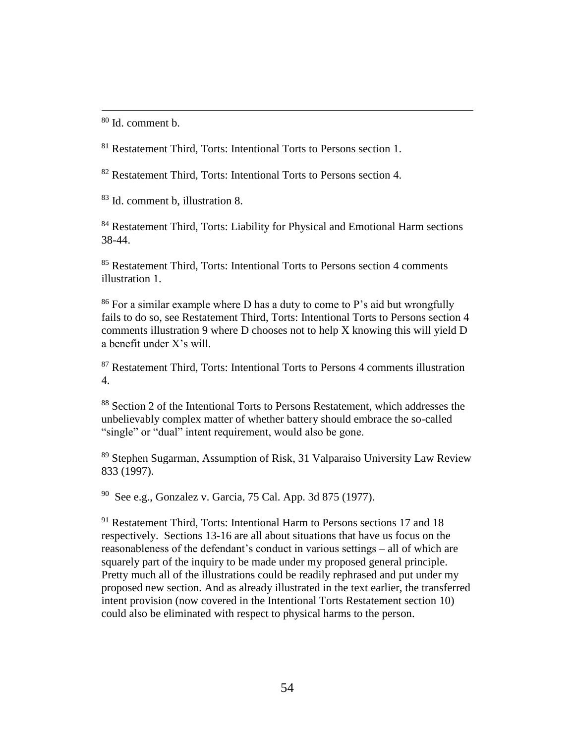<sup>80</sup> Id. comment b.

l

<sup>81</sup> Restatement Third, Torts: Intentional Torts to Persons section 1.

<sup>82</sup> Restatement Third, Torts: Intentional Torts to Persons section 4.

<sup>83</sup> Id. comment b, illustration 8.

<sup>84</sup> Restatement Third, Torts: Liability for Physical and Emotional Harm sections 38-44.

<sup>85</sup> Restatement Third, Torts: Intentional Torts to Persons section 4 comments illustration 1.

 $86$  For a similar example where D has a duty to come to P's aid but wrongfully fails to do so, see Restatement Third, Torts: Intentional Torts to Persons section 4 comments illustration 9 where D chooses not to help X knowing this will yield D a benefit under X's will.

<sup>87</sup> Restatement Third, Torts: Intentional Torts to Persons 4 comments illustration 4.

<sup>88</sup> Section 2 of the Intentional Torts to Persons Restatement, which addresses the unbelievably complex matter of whether battery should embrace the so-called "single" or "dual" intent requirement, would also be gone.

<sup>89</sup> Stephen Sugarman, Assumption of Risk, 31 Valparaiso University Law Review 833 (1997).

<sup>90</sup> See e.g., Gonzalez v. Garcia, 75 Cal. App. 3d 875 (1977).

<sup>91</sup> Restatement Third, Torts: Intentional Harm to Persons sections 17 and 18 respectively. Sections 13-16 are all about situations that have us focus on the reasonableness of the defendant's conduct in various settings – all of which are squarely part of the inquiry to be made under my proposed general principle. Pretty much all of the illustrations could be readily rephrased and put under my proposed new section. And as already illustrated in the text earlier, the transferred intent provision (now covered in the Intentional Torts Restatement section 10) could also be eliminated with respect to physical harms to the person.